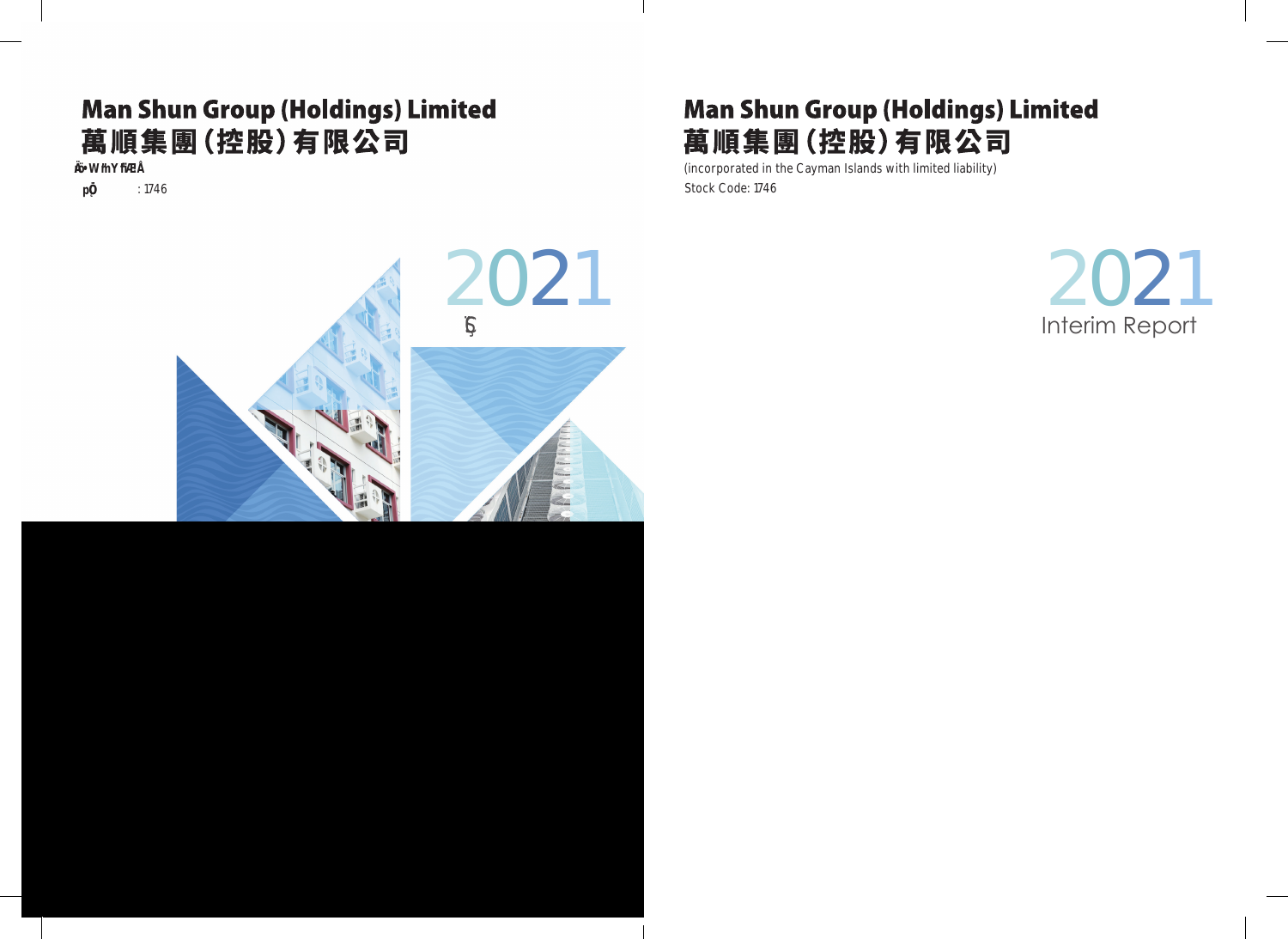# **Man Shun Group (Holdings) Limited** 萬順集團(控股)有限公司

(incorporated in the Cayman Islands with limited liability) Stock Code: 1746

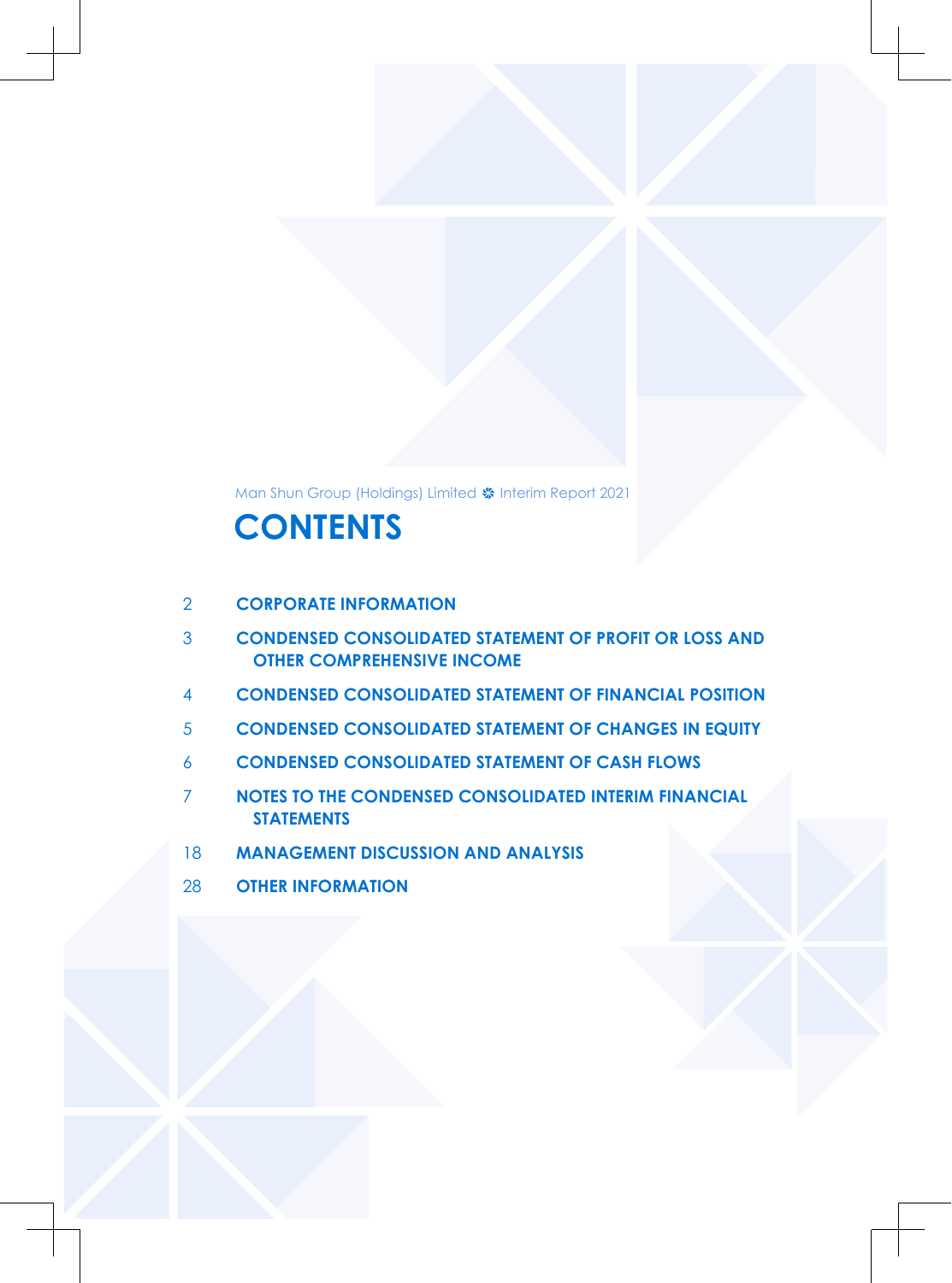Man Shun Group (Holdings) Limited # Interim Report 2021

# **CONTENTS**

- **CORPORATE INFORMATION**
- **CONDENSED CONSOLIDATED STATEMENT OF PROFIT OR LOSS AND OTHER COMPREHENSIVE INCOME**
- **CONDENSED CONSOLIDATED STATEMENT OF FINANCIAL POSITION**
- **CONDENSED CONSOLIDATED STATEMENT OF CHANGES IN EQUITY**
- **CONDENSED CONSOLIDATED STATEMENT OF CASH FLOWS**
- **NOTES TO THE CONDENSED CONSOLIDATED INTERIM FINANCIAL STATEMENTS**
- **MANAGEMENT DISCUSSION AND ANALYSIS**
- **OTHER INFORMATION**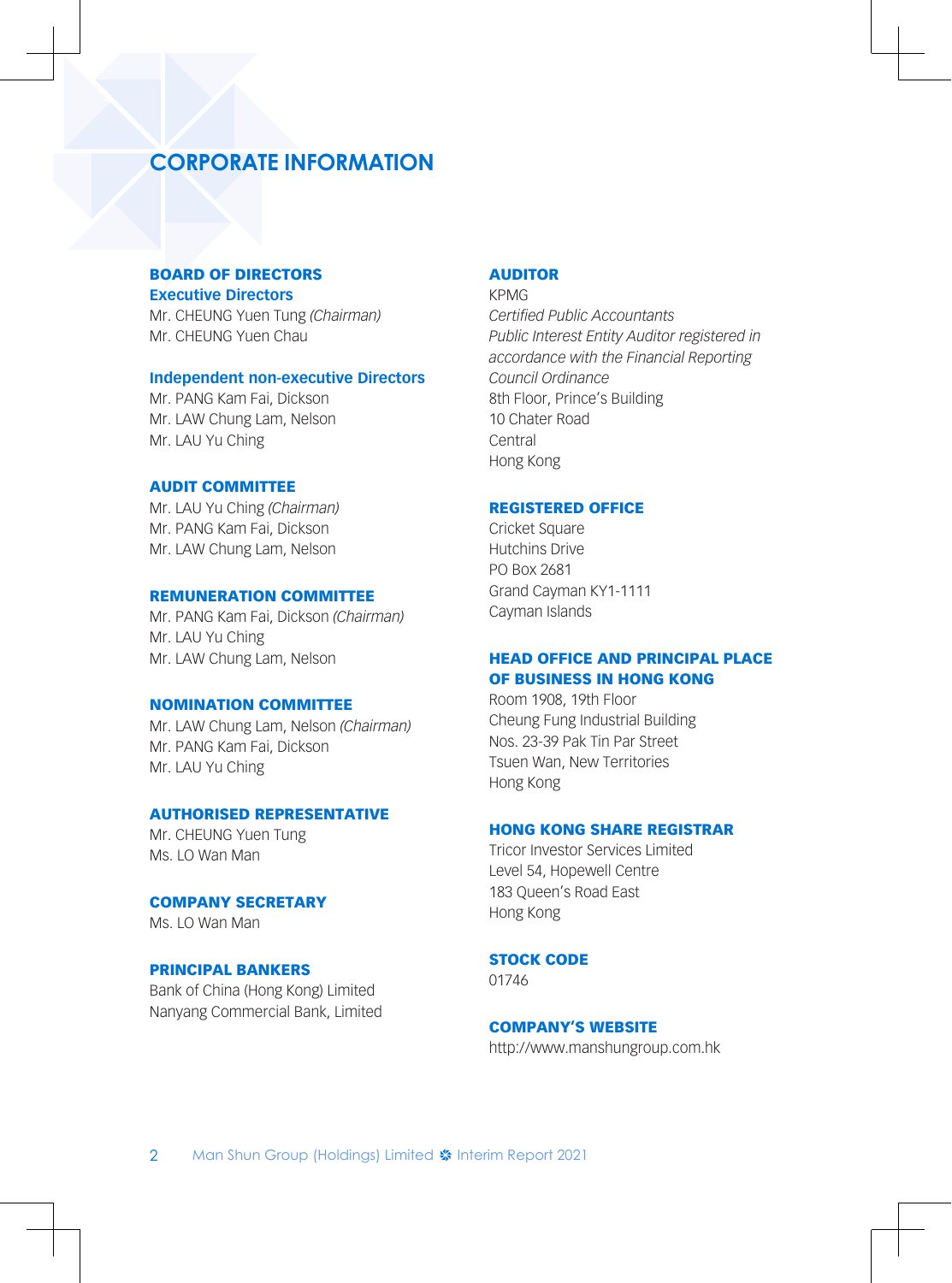# **CORPORATE INFORMATION**

#### BOARD OF DIRECTORS **Executive Directors**

Mr. CHEUNG Yuen Tung *(Chairman)* Mr. CHEUNG Yuen Chau

#### **Independent non-executive Directors**

Mr. PANG Kam Fai, Dickson Mr. LAW Chung Lam, Nelson Mr. LAU Yu Ching

#### AUDIT COMMITTEE

Mr. LAU Yu Ching *(Chairman)* Mr. PANG Kam Fai, Dickson Mr. LAW Chung Lam, Nelson

#### REMUNERATION COMMITTEE

Mr. PANG Kam Fai, Dickson *(Chairman)* Mr. LAU Yu Ching Mr. LAW Chung Lam, Nelson

#### NOMINATION COMMITTEE

Mr. LAW Chung Lam, Nelson *(Chairman)* Mr. PANG Kam Fai, Dickson Mr. LAU Yu Ching

#### AUTHORISED REPRESENTATIVE

Mr. CHEUNG Yuen Tung Ms. LO Wan Man

#### COMPANY SECRETARY

Ms. LO Wan Man

#### PRINCIPAL BANKERS

Bank of China (Hong Kong) Limited Nanyang Commercial Bank, Limited

#### AUDITOR

**KPMG** *Certified Public Accountants Public Interest Entity Auditor registered in accordance with the Financial Reporting Council Ordinance* 8th Floor, Prince's Building 10 Chater Road Central Hong Kong

#### REGISTERED OFFICE

Cricket Square Hutchins Drive PO Box 2681 Grand Cayman KY1-1111 Cayman Islands

#### HEAD OFFICE AND PRINCIPAL PLACE OF BUSINESS IN HONG KONG

Room 1908, 19th Floor Cheung Fung Industrial Building Nos. 23-39 Pak Tin Par Street Tsuen Wan, New Territories Hong Kong

#### HONG KONG SHARE REGISTRAR

Tricor Investor Services Limited Level 54, Hopewell Centre 183 Queen's Road East Hong Kong

#### STOCK CODE

01746

#### COMPANY'S WEBSITE

http://www.manshungroup.com.hk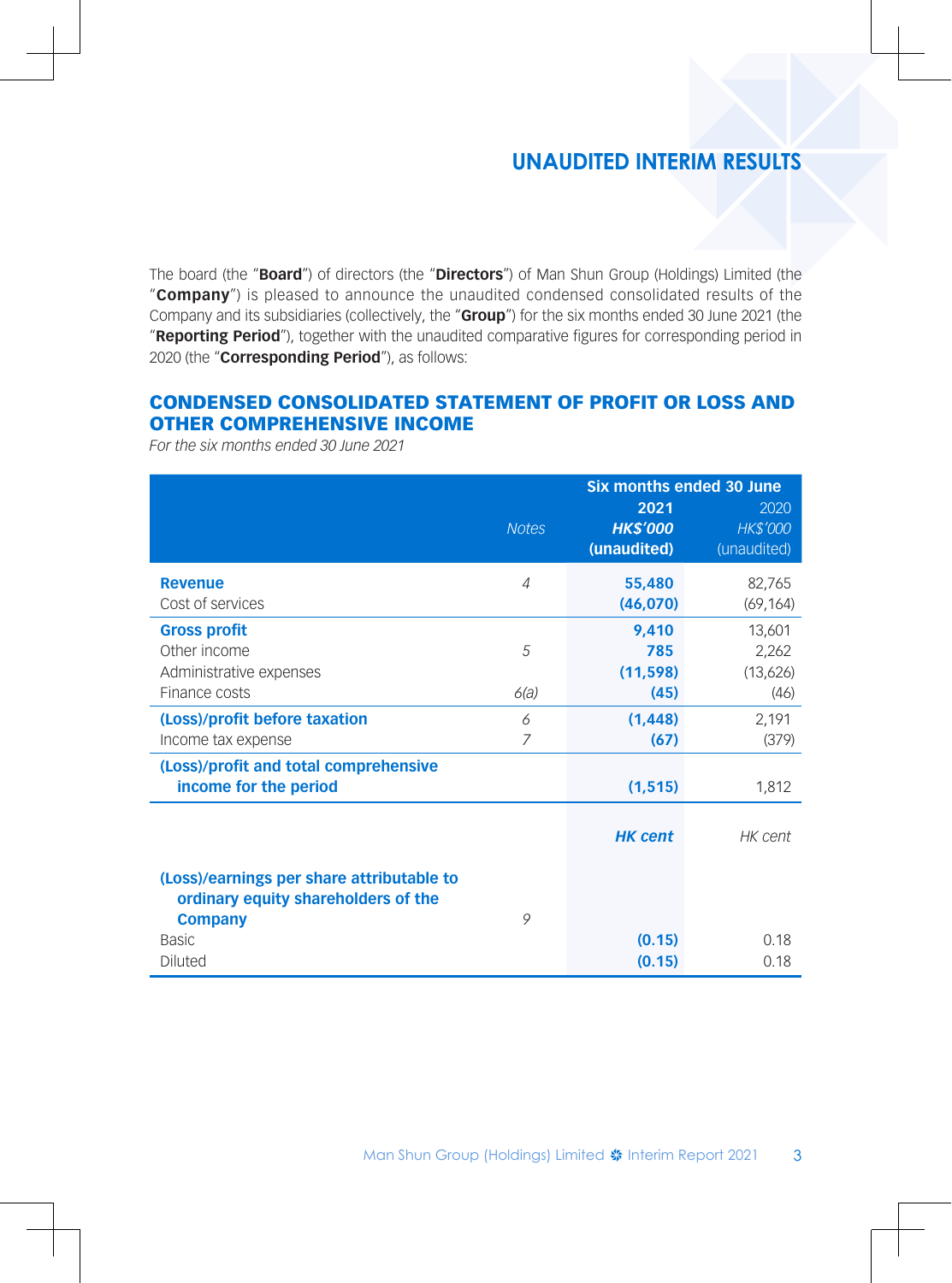# **UNAUDITED INTERIM RESULTS**

The board (the "**Board**") of directors (the "**Directors**") of Man Shun Group (Holdings) Limited (the "**Company**") is pleased to announce the unaudited condensed consolidated results of the Company and its subsidiaries (collectively, the "**Group**") for the six months ended 30 June 2021 (the "**Reporting Period**"), together with the unaudited comparative figures for corresponding period in 2020 (the "**Corresponding Period**"), as follows:

### CONDENSED CONSOLIDATED STATEMENT OF PROFIT OR LOSS AND OTHER COMPREHENSIVE INCOME

*For the six months ended 30 June 2021*

|                                                                                  |                | <b>Six months ended 30 June</b> |                 |  |
|----------------------------------------------------------------------------------|----------------|---------------------------------|-----------------|--|
|                                                                                  |                | 2021                            | 2020            |  |
|                                                                                  | <b>Notes</b>   | <b>HK\$'000</b>                 | <b>HK\$'000</b> |  |
|                                                                                  |                | (unaudited)                     | (unaudited)     |  |
| <b>Revenue</b>                                                                   | $\overline{4}$ | 55,480                          | 82,765          |  |
| Cost of services                                                                 |                | (46,070)                        | (69, 164)       |  |
| <b>Gross profit</b>                                                              |                | 9,410                           | 13,601          |  |
| Other income                                                                     | 5              | 785                             | 2,262           |  |
| Administrative expenses                                                          |                | (11, 598)                       | (13,626)        |  |
| Finance costs                                                                    | 6(a)           | (45)                            | (46)            |  |
| (Loss)/profit before taxation                                                    | 6              | (1, 448)                        | 2,191           |  |
| Income tax expense                                                               | 7              | (67)                            | (379)           |  |
| (Loss)/profit and total comprehensive                                            |                |                                 |                 |  |
| income for the period                                                            |                | (1, 515)                        | 1,812           |  |
|                                                                                  |                |                                 |                 |  |
|                                                                                  |                | <b>HK</b> cent                  | HK cent         |  |
|                                                                                  |                |                                 |                 |  |
| (Loss)/earnings per share attributable to<br>ordinary equity shareholders of the |                |                                 |                 |  |
| <b>Company</b>                                                                   | 9              |                                 |                 |  |
| <b>Basic</b>                                                                     |                | (0.15)                          | 0.18            |  |
| Diluted                                                                          |                | (0.15)                          | 0.18            |  |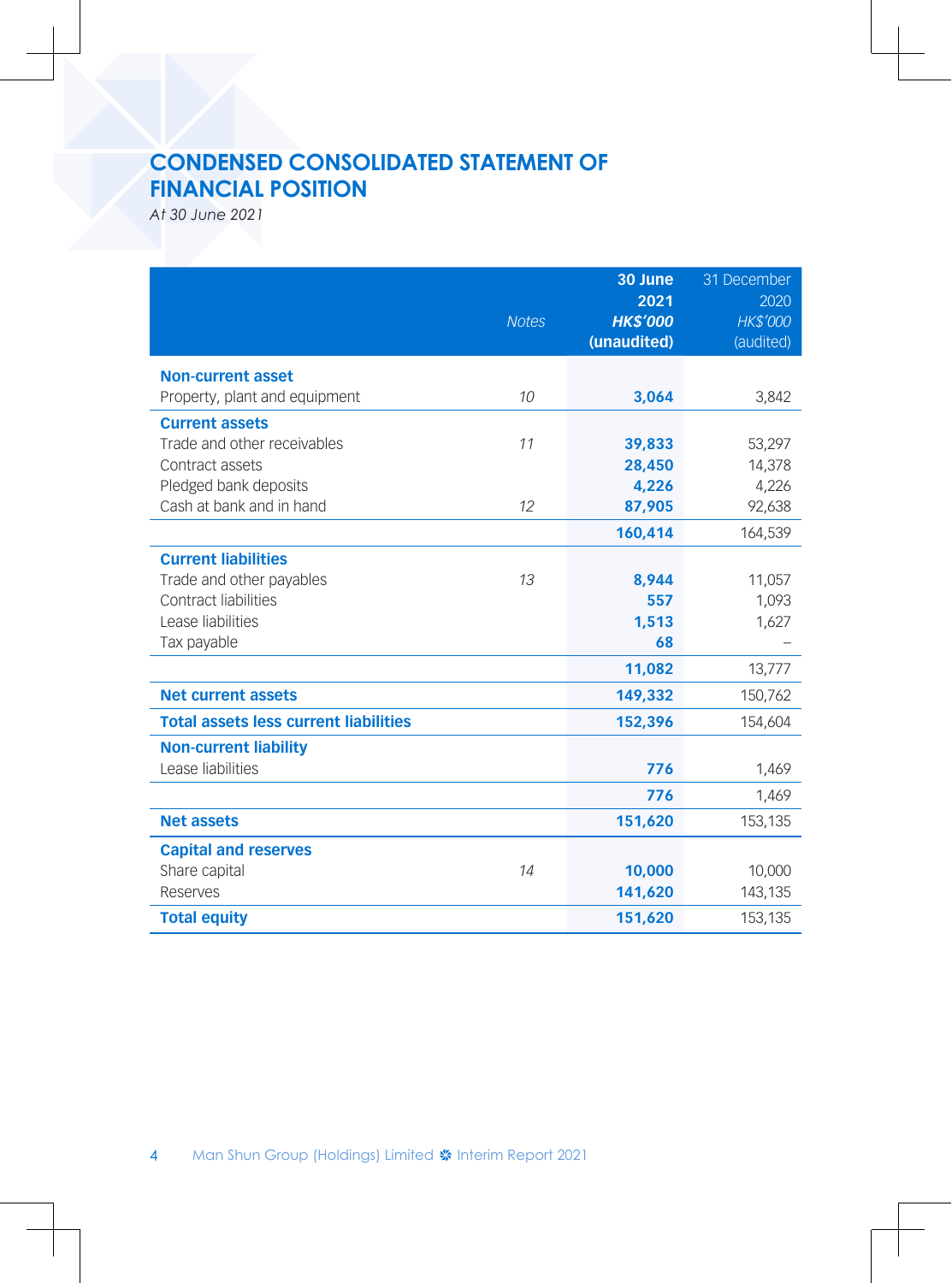# **CONDENSED CONSOLIDATED STATEMENT OF FINANCIAL POSITION**

*At 30 June 2021*

|                                              | <b>Notes</b> | 30 June<br>2021<br><b>HKS'000</b> | 31 December<br>2020<br><b>HK\$'000</b> |
|----------------------------------------------|--------------|-----------------------------------|----------------------------------------|
|                                              |              | (unaudited)                       | (audited)                              |
| <b>Non-current asset</b>                     |              |                                   |                                        |
| Property, plant and equipment                | 10           | 3,064                             | 3,842                                  |
| <b>Current assets</b>                        |              |                                   |                                        |
| Trade and other receivables                  | 11           | 39,833                            | 53,297                                 |
| Contract assets                              |              | 28,450                            | 14,378                                 |
| Pledged bank deposits                        |              | 4.226                             | 4,226                                  |
| Cash at bank and in hand                     | 12           | 87.905                            | 92,638                                 |
|                                              |              | 160,414                           | 164,539                                |
| <b>Current liabilities</b>                   |              |                                   |                                        |
| Trade and other payables                     | 13           | 8,944                             | 11,057                                 |
| Contract liabilities                         |              | 557                               | 1,093                                  |
| Lease liabilities                            |              | 1,513                             | 1,627                                  |
| Tax payable                                  |              | 68                                |                                        |
|                                              |              | 11,082                            | 13,777                                 |
| <b>Net current assets</b>                    |              | 149,332                           | 150,762                                |
| <b>Total assets less current liabilities</b> |              | 152,396                           | 154,604                                |
| <b>Non-current liability</b>                 |              |                                   |                                        |
| Lease liabilities                            |              | 776                               | 1,469                                  |
|                                              |              | 776                               | 1,469                                  |
| <b>Net assets</b>                            |              | 151,620                           | 153,135                                |
| <b>Capital and reserves</b>                  |              |                                   |                                        |
| Share capital                                | 14           | 10,000                            | 10,000                                 |
| Reserves                                     |              | 141,620                           | 143,135                                |
| <b>Total equity</b>                          |              | 151,620                           | 153,135                                |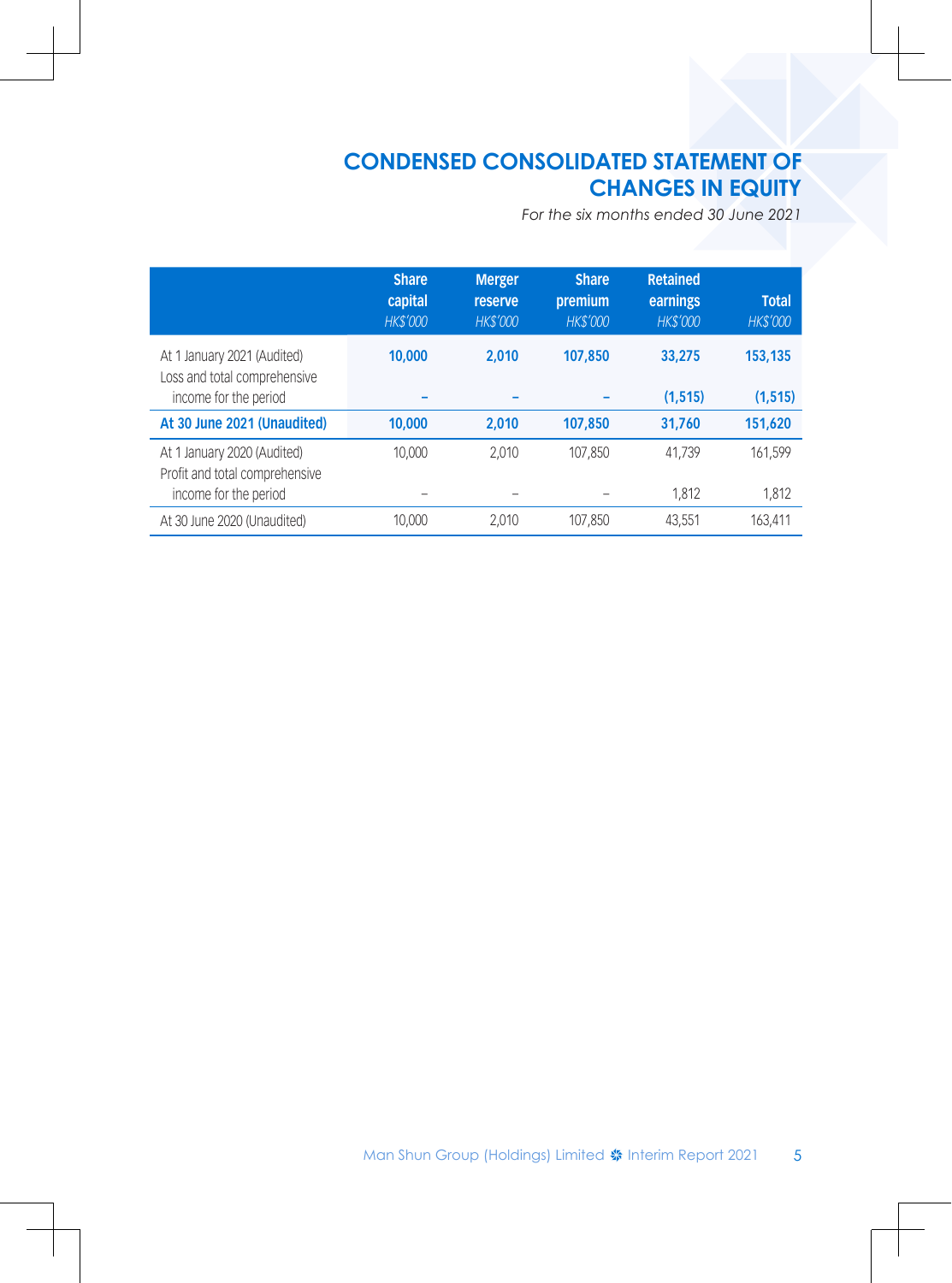# **CONDENSED CONSOLIDATED STATEMENT OF CHANGES IN EQUITY**

*For the six months ended 30 June 2021*

|                                                                                        | <b>Share</b><br>capital<br><b>HK\$'000</b> | <b>Merger</b><br>reserve<br><b>HK\$'000</b> | <b>Share</b><br>premium<br><b>HK\$'000</b> | Retained<br>earnings<br><b>HK\$'000</b> | <b>Total</b><br><b>HK\$'000</b> |
|----------------------------------------------------------------------------------------|--------------------------------------------|---------------------------------------------|--------------------------------------------|-----------------------------------------|---------------------------------|
| At 1 January 2021 (Audited)<br>Loss and total comprehensive<br>income for the period   | 10,000                                     | 2.010                                       | 107.850                                    | 33.275<br>(1, 515)                      | 153.135<br>(1, 515)             |
| At 30 June 2021 (Unaudited)                                                            | 10,000                                     | 2.010                                       | 107.850                                    | 31.760                                  | 151,620                         |
| At 1 January 2020 (Audited)<br>Profit and total comprehensive<br>income for the period | 10,000                                     | 2.010                                       | 107.850                                    | 41.739<br>1,812                         | 161.599<br>1,812                |
| At 30 June 2020 (Unaudited)                                                            | 10.000                                     | 2.010                                       | 107.850                                    | 43.551                                  | 163.411                         |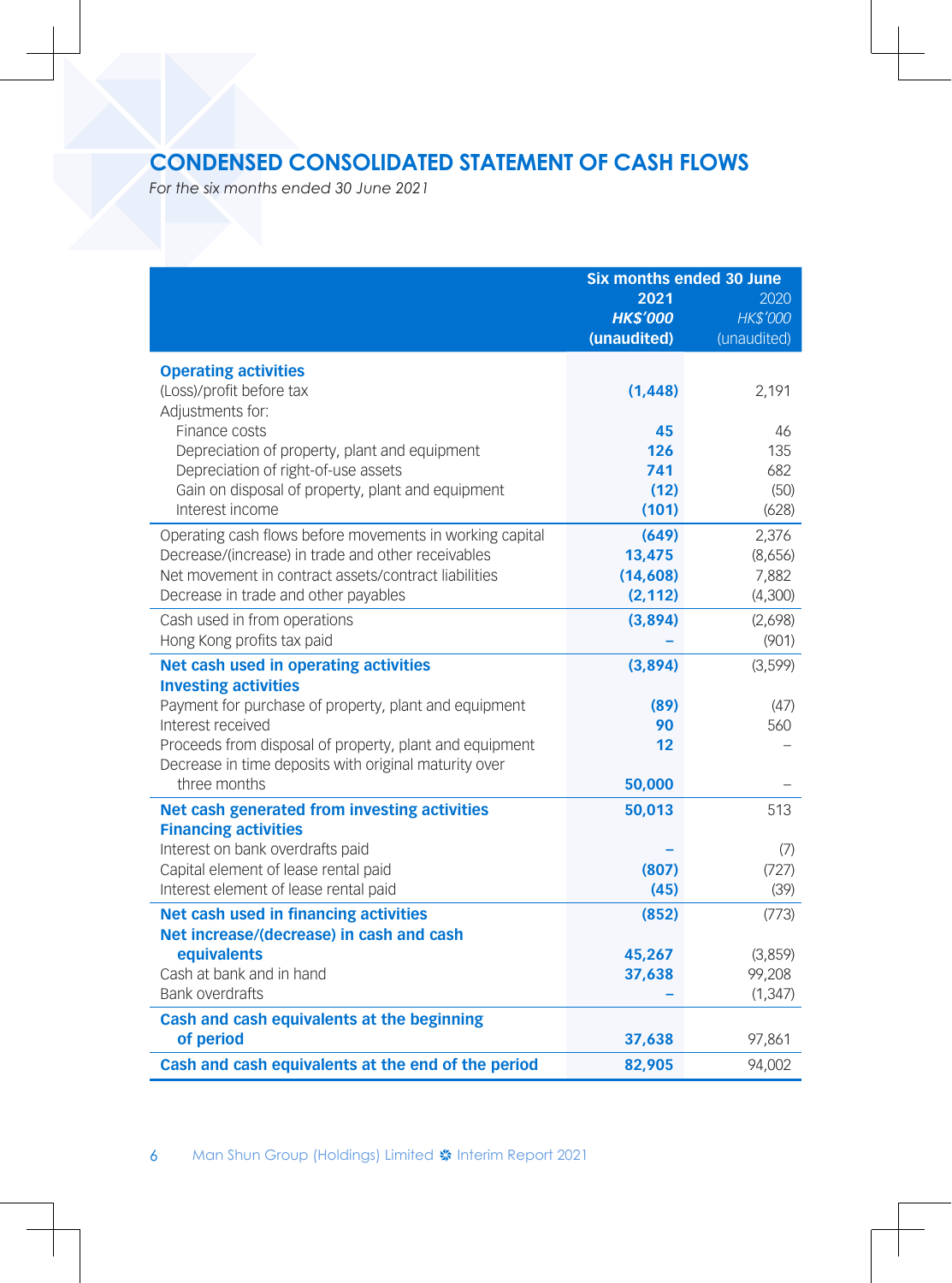# **CONDENSED CONSOLIDATED STATEMENT OF CASH FLOWS**

*For the six months ended 30 June 2021*

|                                                                                      | <b>Six months ended 30 June</b> |                         |  |
|--------------------------------------------------------------------------------------|---------------------------------|-------------------------|--|
|                                                                                      | 2021<br><b>HKS'000</b>          | 2020<br><b>HK\$'000</b> |  |
|                                                                                      | (unaudited)                     | (unaudited)             |  |
| <b>Operating activities</b>                                                          |                                 |                         |  |
| (Loss)/profit before tax                                                             | (1, 448)                        | 2,191                   |  |
| Adjustments for:                                                                     |                                 |                         |  |
| Finance costs                                                                        | 45                              | 46                      |  |
| Depreciation of property, plant and equipment                                        | 126                             | 135                     |  |
| Depreciation of right-of-use assets                                                  | 741                             | 682                     |  |
| Gain on disposal of property, plant and equipment                                    | (12)                            | (50)                    |  |
| Interest income                                                                      | (101)                           | (628)                   |  |
| Operating cash flows before movements in working capital                             | (649)                           | 2,376                   |  |
| Decrease/(increase) in trade and other receivables                                   | 13,475                          | (8,656)                 |  |
| Net movement in contract assets/contract liabilities                                 | (14, 608)                       | 7,882                   |  |
| Decrease in trade and other payables                                                 | (2, 112)                        | (4,300)                 |  |
| Cash used in from operations                                                         | (3,894)                         | (2,698)                 |  |
| Hong Kong profits tax paid                                                           |                                 | (901)                   |  |
| Net cash used in operating activities                                                | (3,894)                         | (3, 599)                |  |
| <b>Investing activities</b><br>Payment for purchase of property, plant and equipment | (89)                            | (47)                    |  |
| Interest received                                                                    | 90                              | 560                     |  |
| Proceeds from disposal of property, plant and equipment                              | 12                              |                         |  |
| Decrease in time deposits with original maturity over                                |                                 |                         |  |
| three months                                                                         | 50,000                          |                         |  |
| Net cash generated from investing activities                                         | 50,013                          | 513                     |  |
| <b>Financing activities</b>                                                          |                                 |                         |  |
| Interest on bank overdrafts paid                                                     |                                 | (7)                     |  |
| Capital element of lease rental paid                                                 | (807)                           | (727)                   |  |
| Interest element of lease rental paid                                                | (45)                            | (39)                    |  |
| Net cash used in financing activities<br>Net increase/(decrease) in cash and cash    | (852)                           | (773)                   |  |
| equivalents                                                                          | 45,267                          | (3,859)                 |  |
| Cash at bank and in hand                                                             | 37,638                          | 99,208                  |  |
| Bank overdrafts                                                                      |                                 | (1, 347)                |  |
| Cash and cash equivalents at the beginning                                           |                                 |                         |  |
| of period                                                                            | 37,638                          | 97,861                  |  |
| Cash and cash equivalents at the end of the period                                   | 82,905                          | 94,002                  |  |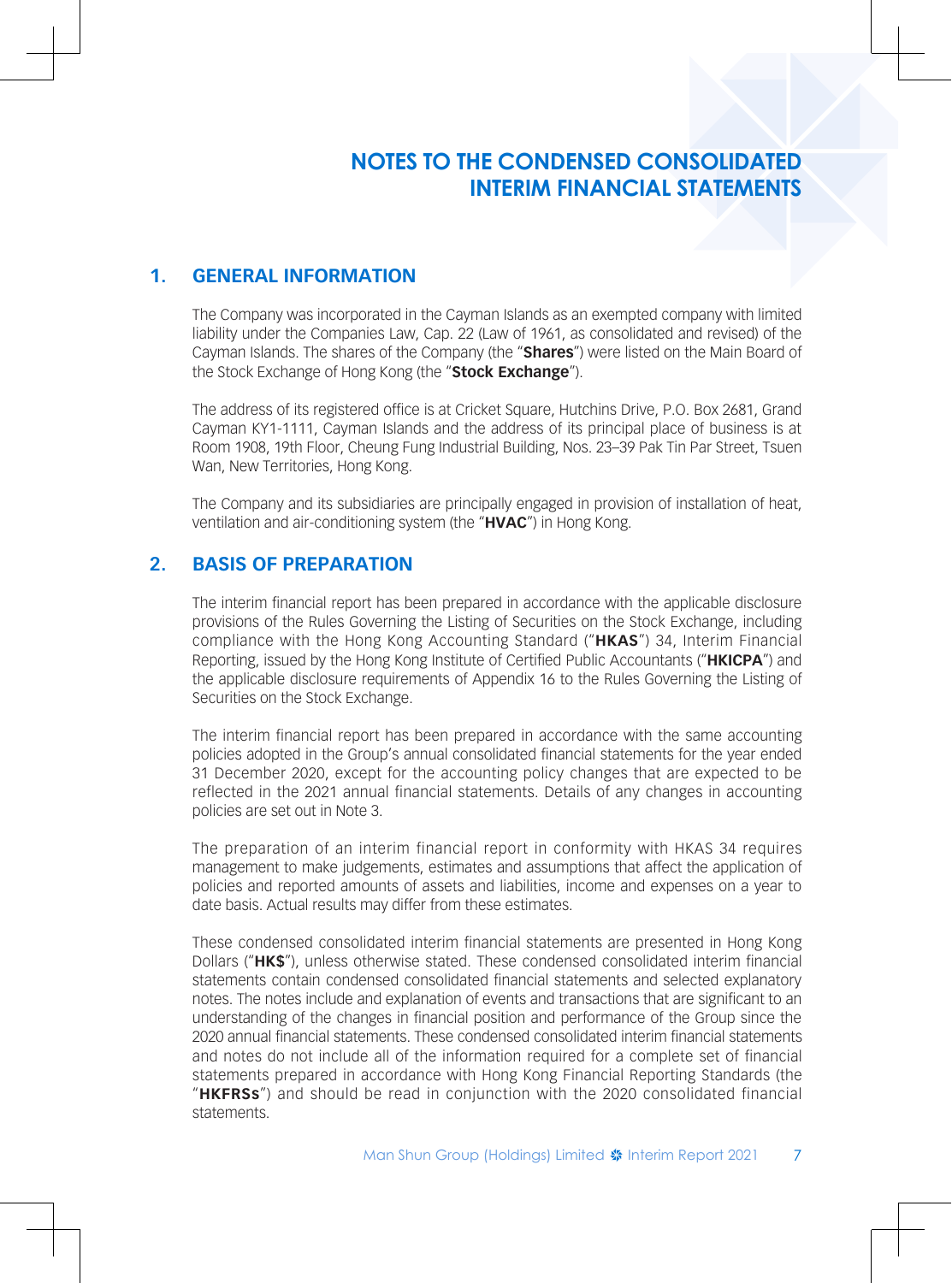### **1. GENERAL INFORMATION**

The Company was incorporated in the Cayman Islands as an exempted company with limited liability under the Companies Law, Cap. 22 (Law of 1961, as consolidated and revised) of the Cayman Islands. The shares of the Company (the "**Shares**") were listed on the Main Board of the Stock Exchange of Hong Kong (the "**Stock Exchange**").

The address of its registered office is at Cricket Square, Hutchins Drive, P.O. Box 2681, Grand Cayman KY1-1111, Cayman Islands and the address of its principal place of business is at Room 1908, 19th Floor, Cheung Fung Industrial Building, Nos. 23–39 Pak Tin Par Street, Tsuen Wan, New Territories, Hong Kong.

The Company and its subsidiaries are principally engaged in provision of installation of heat, ventilation and air-conditioning system (the "**HVAC**") in Hong Kong.

### **2. BASIS OF PREPARATION**

The interim financial report has been prepared in accordance with the applicable disclosure provisions of the Rules Governing the Listing of Securities on the Stock Exchange, including compliance with the Hong Kong Accounting Standard ("**HKAS**") 34, Interim Financial Reporting, issued by the Hong Kong Institute of Certified Public Accountants ("**HKICPA**") and the applicable disclosure requirements of Appendix 16 to the Rules Governing the Listing of Securities on the Stock Exchange.

The interim financial report has been prepared in accordance with the same accounting policies adopted in the Group's annual consolidated financial statements for the year ended 31 December 2020, except for the accounting policy changes that are expected to be reflected in the 2021 annual financial statements. Details of any changes in accounting policies are set out in Note 3.

The preparation of an interim financial report in conformity with HKAS 34 requires management to make judgements, estimates and assumptions that affect the application of policies and reported amounts of assets and liabilities, income and expenses on a year to date basis. Actual results may differ from these estimates.

These condensed consolidated interim financial statements are presented in Hong Kong Dollars ("**HK\$**"), unless otherwise stated. These condensed consolidated interim financial statements contain condensed consolidated financial statements and selected explanatory notes. The notes include and explanation of events and transactions that are significant to an understanding of the changes in financial position and performance of the Group since the 2020 annual financial statements. These condensed consolidated interim financial statements and notes do not include all of the information required for a complete set of financial statements prepared in accordance with Hong Kong Financial Reporting Standards (the "**HKFRSs**") and should be read in conjunction with the 2020 consolidated financial statements.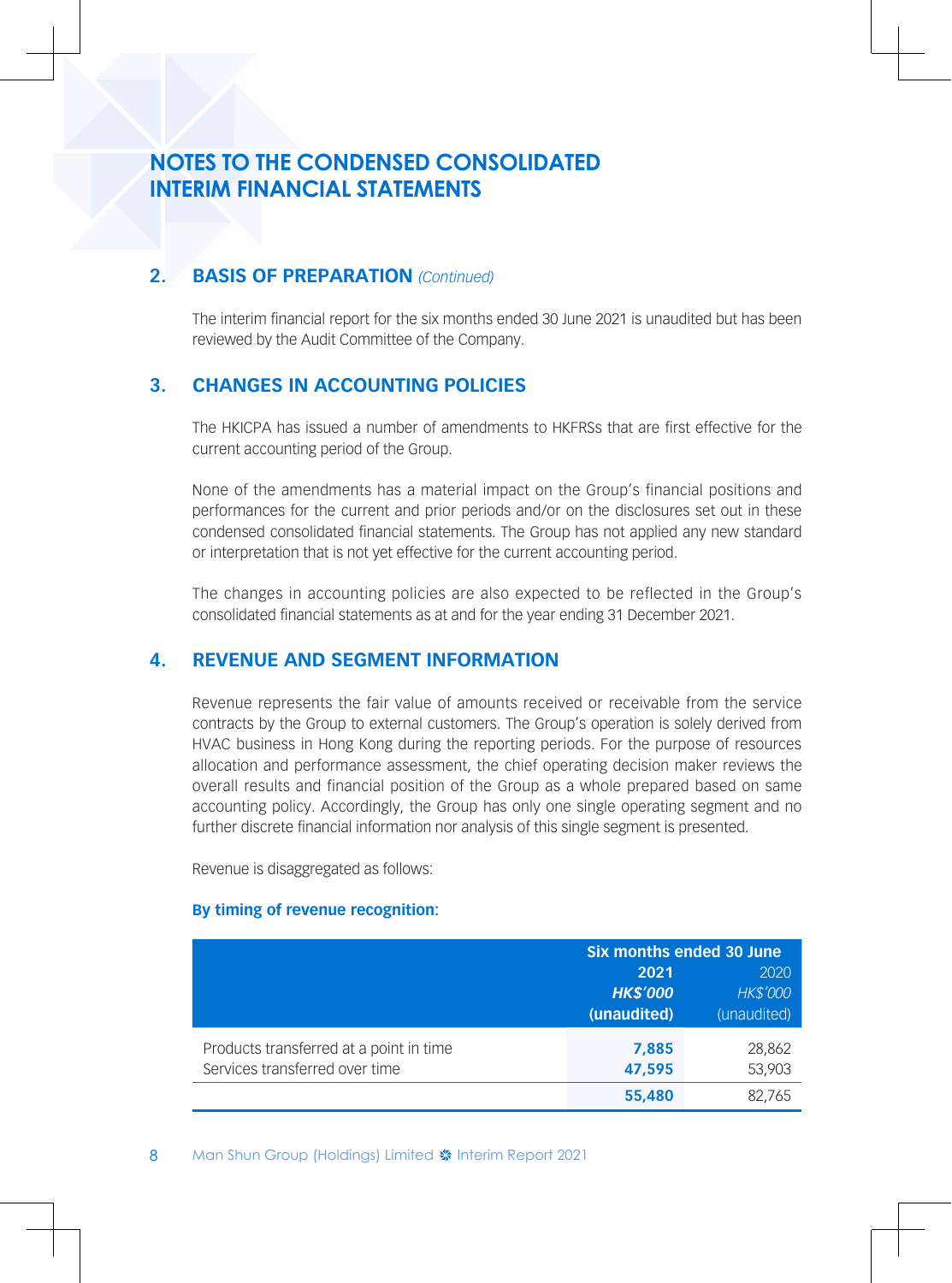### **2. BASIS OF PREPARATION** *(Continued)*

The interim financial report for the six months ended 30 June 2021 is unaudited but has been reviewed by the Audit Committee of the Company.

### **3. CHANGES IN ACCOUNTING POLICIES**

The HKICPA has issued a number of amendments to HKFRSs that are first effective for the current accounting period of the Group.

None of the amendments has a material impact on the Group's financial positions and performances for the current and prior periods and/or on the disclosures set out in these condensed consolidated financial statements. The Group has not applied any new standard or interpretation that is not yet effective for the current accounting period.

The changes in accounting policies are also expected to be reflected in the Group's consolidated financial statements as at and for the year ending 31 December 2021.

### **4. REVENUE AND SEGMENT INFORMATION**

Revenue represents the fair value of amounts received or receivable from the service contracts by the Group to external customers. The Group's operation is solely derived from HVAC business in Hong Kong during the reporting periods. For the purpose of resources allocation and performance assessment, the chief operating decision maker reviews the overall results and financial position of the Group as a whole prepared based on same accounting policy. Accordingly, the Group has only one single operating segment and no further discrete financial information nor analysis of this single segment is presented.

Revenue is disaggregated as follows:

#### **By timing of revenue recognition:**

|                                         | Six months ended 30 June |                 |
|-----------------------------------------|--------------------------|-----------------|
|                                         | 2021                     | 2020            |
|                                         | <b>HKS'000</b>           | <b>HK\$'000</b> |
|                                         | (unaudited)              | (unaudited)     |
| Products transferred at a point in time | 7.885                    | 28.862          |
| Services transferred over time          | 47.595                   | 53,903          |
|                                         | 55,480                   | 82.765          |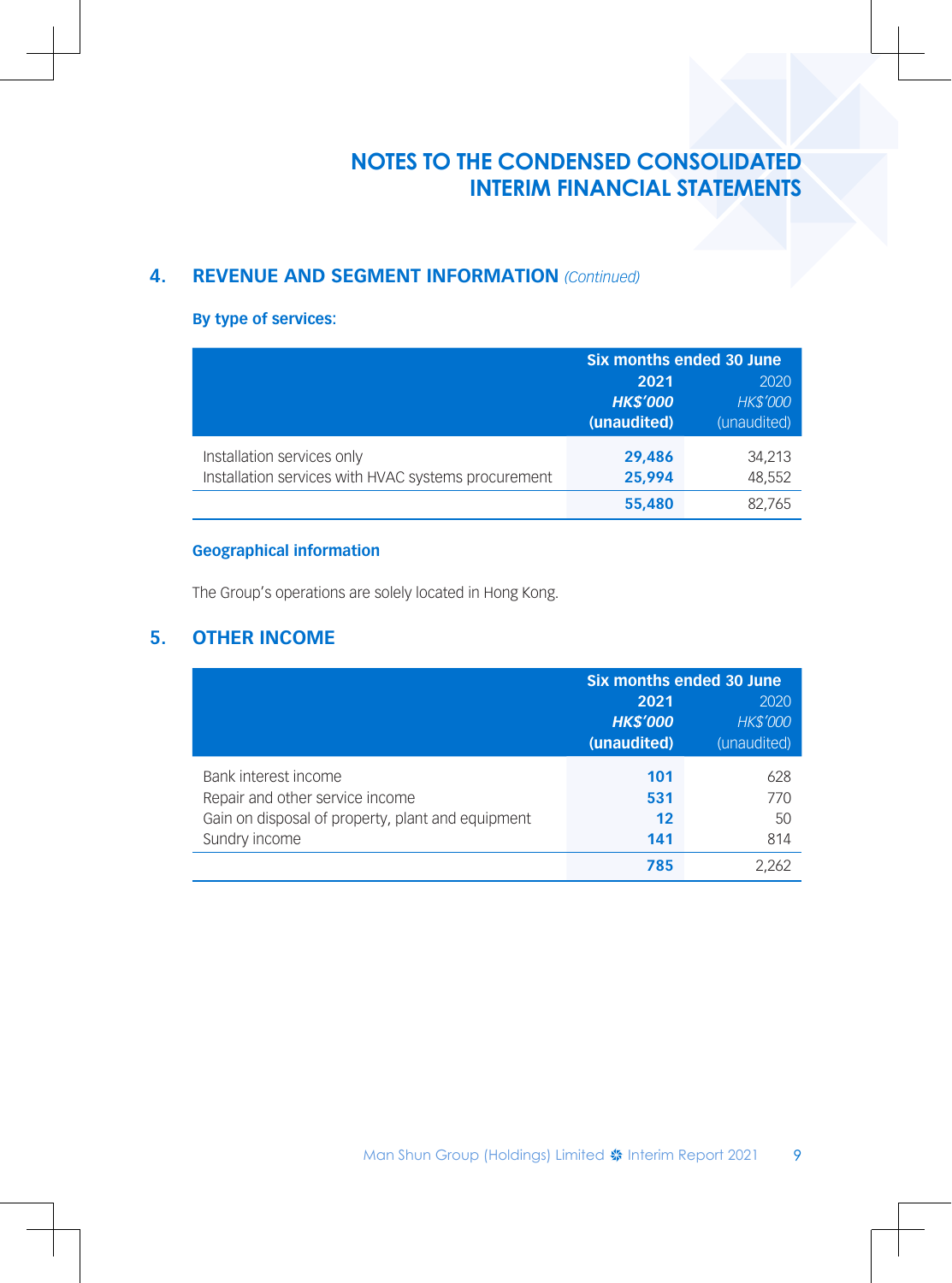### **4. REVENUE AND SEGMENT INFORMATION** *(Continued)*

#### **By type of services:**

|                                                                                   | <b>Six months ended 30 June</b>        |                                        |
|-----------------------------------------------------------------------------------|----------------------------------------|----------------------------------------|
|                                                                                   | 2021<br><b>HK\$'000</b><br>(unaudited) | 2020<br><b>HK\$'000</b><br>(unaudited) |
| Installation services only<br>Installation services with HVAC systems procurement | 29,486<br>25.994                       | 34.213<br>48.552                       |
|                                                                                   | 55,480                                 | 82.765                                 |

### **Geographical information**

The Group's operations are solely located in Hong Kong.

### **5. OTHER INCOME**

|                                                   | <b>Six months ended 30 June</b> |                 |
|---------------------------------------------------|---------------------------------|-----------------|
|                                                   | 2021                            | 2020            |
|                                                   | <b>HK\$'000</b>                 | <b>HK\$'000</b> |
|                                                   | (unaudited)                     | (unaudited)     |
| Bank interest income                              | 101                             | 628             |
| Repair and other service income                   | 531                             | 770             |
| Gain on disposal of property, plant and equipment | 12                              | 50              |
| Sundry income                                     | 141                             | 814             |
|                                                   | 785                             | 2.262           |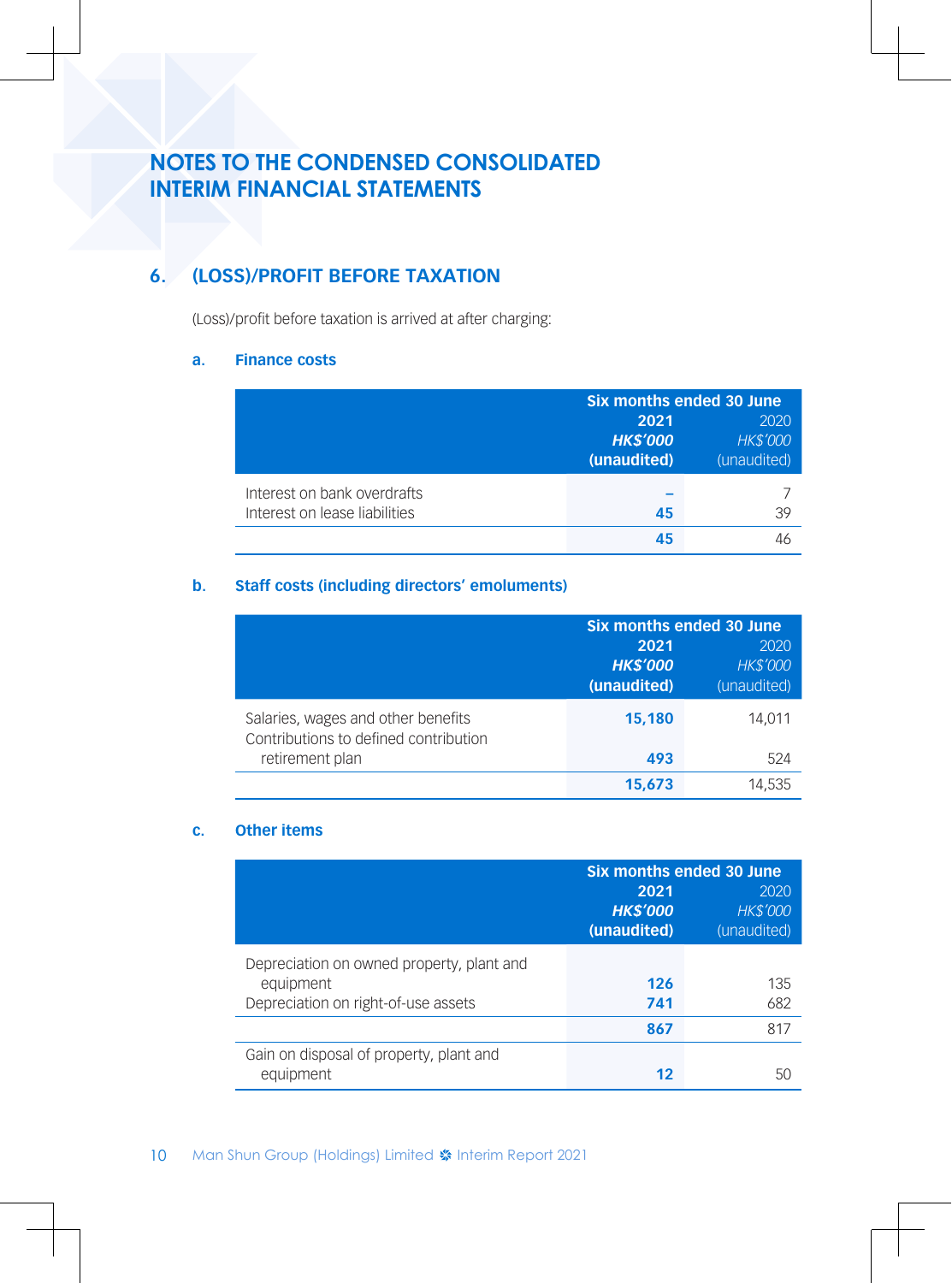# **6. (LOSS)/PROFIT BEFORE TAXATION**

(Loss)/profit before taxation is arrived at after charging:

#### **a. Finance costs**

|                               | <b>Six months ended 30 June</b> |                 |
|-------------------------------|---------------------------------|-----------------|
|                               | 2021                            | 2020            |
|                               | <b>HKS'000</b>                  | <b>HK\$'000</b> |
|                               | (unaudited)                     | (unaudited)     |
| Interest on bank overdrafts   |                                 |                 |
| Interest on lease liabilities | 45                              | 39              |
|                               | 45                              |                 |

### **b. Staff costs (including directors' emoluments)**

|                                                                             | <b>Six months ended 30 June</b> |                         |  |
|-----------------------------------------------------------------------------|---------------------------------|-------------------------|--|
|                                                                             | 2021<br><b>HK\$'000</b>         | 2020<br><b>HK\$'000</b> |  |
|                                                                             | (unaudited)                     | (unaudited)             |  |
| Salaries, wages and other benefits<br>Contributions to defined contribution | 15,180                          | 14.011                  |  |
| retirement plan                                                             | 493                             | 524                     |  |
|                                                                             | 15.673                          | 14 535                  |  |

#### **c. Other items**

|                                                                                               | <b>Six months ended 30 June</b>       |                                        |  |
|-----------------------------------------------------------------------------------------------|---------------------------------------|----------------------------------------|--|
|                                                                                               | 2021<br><b>HKS'000</b><br>(unaudited) | 2020<br><b>HK\$'000</b><br>(unaudited) |  |
| Depreciation on owned property, plant and<br>equipment<br>Depreciation on right-of-use assets | 126<br>741                            | 135<br>682                             |  |
|                                                                                               | 867                                   | 817                                    |  |
| Gain on disposal of property, plant and<br>equipment                                          | 12                                    | 50                                     |  |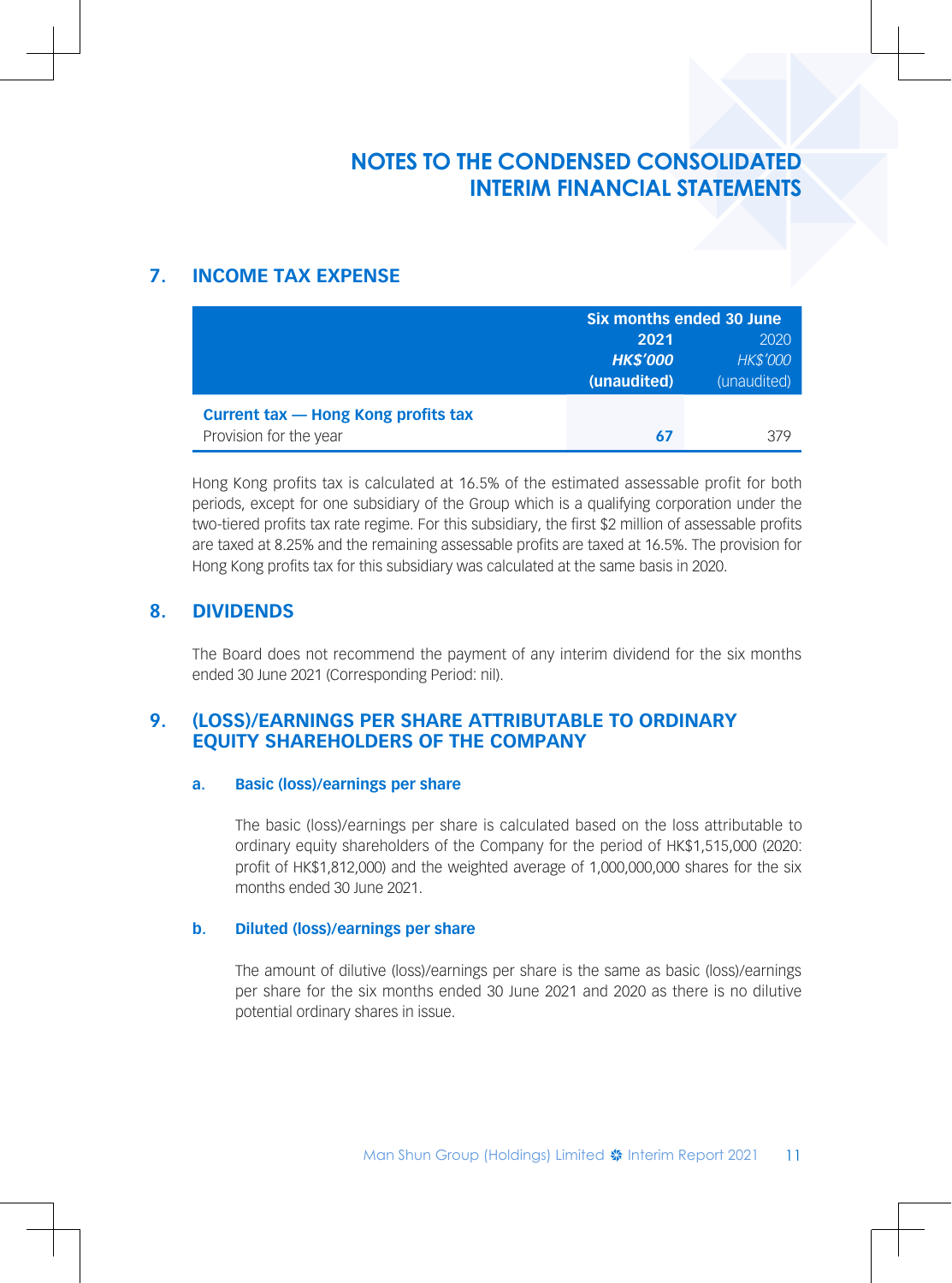### **7. INCOME TAX EXPENSE**

|                                     |                 | Six months ended 30 June |  |
|-------------------------------------|-----------------|--------------------------|--|
|                                     | 2021            | 2020                     |  |
|                                     | <b>HK\$'000</b> | <b>HK\$'000</b>          |  |
|                                     | (unaudited)     | (unaudited)              |  |
| Current tax — Hong Kong profits tax |                 |                          |  |
| Provision for the year              | 67              | 379                      |  |

Hong Kong profits tax is calculated at 16.5% of the estimated assessable profit for both periods, except for one subsidiary of the Group which is a qualifying corporation under the two-tiered profits tax rate regime. For this subsidiary, the first \$2 million of assessable profits are taxed at 8.25% and the remaining assessable profits are taxed at 16.5%. The provision for Hong Kong profits tax for this subsidiary was calculated at the same basis in 2020.

### **8. DIVIDENDS**

The Board does not recommend the payment of any interim dividend for the six months ended 30 June 2021 (Corresponding Period: nil).

### **9. (LOSS)/EARNINGS PER SHARE ATTRIBUTABLE TO ORDINARY EQUITY SHAREHOLDERS OF THE COMPANY**

#### **a. Basic (loss)/earnings per share**

The basic (loss)/earnings per share is calculated based on the loss attributable to ordinary equity shareholders of the Company for the period of HK\$1,515,000 (2020: profit of HK\$1,812,000) and the weighted average of 1,000,000,000 shares for the six months ended 30 June 2021.

#### **b. Diluted (loss)/earnings per share**

The amount of dilutive (loss)/earnings per share is the same as basic (loss)/earnings per share for the six months ended 30 June 2021 and 2020 as there is no dilutive potential ordinary shares in issue.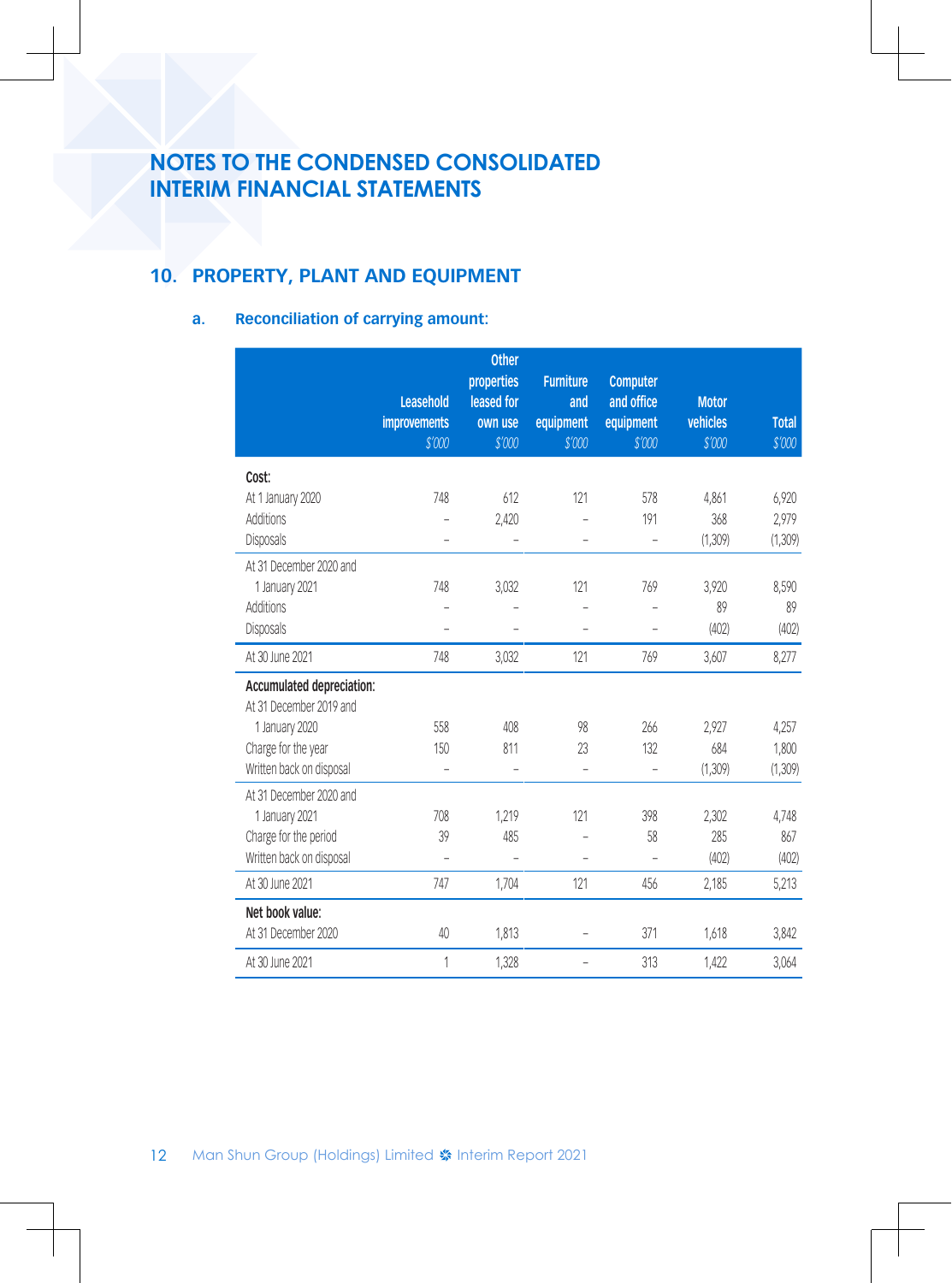## **10. PROPERTY, PLANT AND EQUIPMENT**

### **a. Reconciliation of carrying amount:**

|                                                      | Leasehold<br><b>improvements</b><br>\$′000 | Other<br>properties<br>leased for<br>own use<br>\$′000 | <b>Furniture</b><br>and<br>equipment<br>\$′000 | Computer<br>and office<br>equipment<br>\$′000 | <b>Motor</b><br>vehicles<br>\$′000 | <b>Total</b><br>\$'000 |
|------------------------------------------------------|--------------------------------------------|--------------------------------------------------------|------------------------------------------------|-----------------------------------------------|------------------------------------|------------------------|
| Cost:                                                |                                            |                                                        |                                                |                                               |                                    |                        |
| At 1 January 2020                                    | 748                                        | 612                                                    | 121                                            | 578                                           | 4,861                              | 6,920                  |
| Additions                                            |                                            | 2,420                                                  |                                                | 191                                           | 368                                | 2,979                  |
| Disposals                                            |                                            |                                                        | ÷,                                             | $\overline{a}$                                | (1,309)                            | (1,309)                |
| At 31 December 2020 and                              |                                            |                                                        |                                                |                                               |                                    |                        |
| 1 January 2021                                       | 748                                        | 3,032                                                  | 121                                            | 769                                           | 3,920                              | 8,590                  |
| <b>Additions</b>                                     |                                            |                                                        |                                                |                                               | 89                                 | 89                     |
| <b>Disposals</b>                                     |                                            |                                                        |                                                |                                               | (402)                              | (402)                  |
| At 30 June 2021                                      | 748                                        | 3,032                                                  | 121                                            | 769                                           | 3,607                              | 8,277                  |
| Accumulated depreciation:<br>At 31 December 2019 and |                                            |                                                        |                                                |                                               |                                    |                        |
| 1 January 2020                                       | 558                                        | 408                                                    | 98                                             | 266                                           | 2,927                              | 4,257                  |
| Charge for the year                                  | 150                                        | 811                                                    | 23                                             | 132                                           | 684                                | 1,800                  |
| Written back on disposal                             |                                            |                                                        | $\overline{a}$                                 | $\overline{\phantom{0}}$                      | (1,309)                            | (1, 309)               |
| At 31 December 2020 and                              |                                            |                                                        |                                                |                                               |                                    |                        |
| 1 January 2021                                       | 708                                        | 1,219                                                  | 121                                            | 398                                           | 2,302                              | 4,748                  |
| Charge for the period                                | 39                                         | 485                                                    |                                                | 58                                            | 285                                | 867                    |
| Written back on disposal                             |                                            |                                                        |                                                | L,                                            | (402)                              | (402)                  |
| At 30 June 2021                                      | 747                                        | 1,704                                                  | 121                                            | 456                                           | 2,185                              | 5,213                  |
| Net book value:                                      |                                            |                                                        |                                                |                                               |                                    |                        |
| At 31 December 2020                                  | 40                                         | 1,813                                                  |                                                | 371                                           | 1,618                              | 3,842                  |
| At 30 June 2021                                      | 1                                          | 1,328                                                  |                                                | 313                                           | 1,422                              | 3,064                  |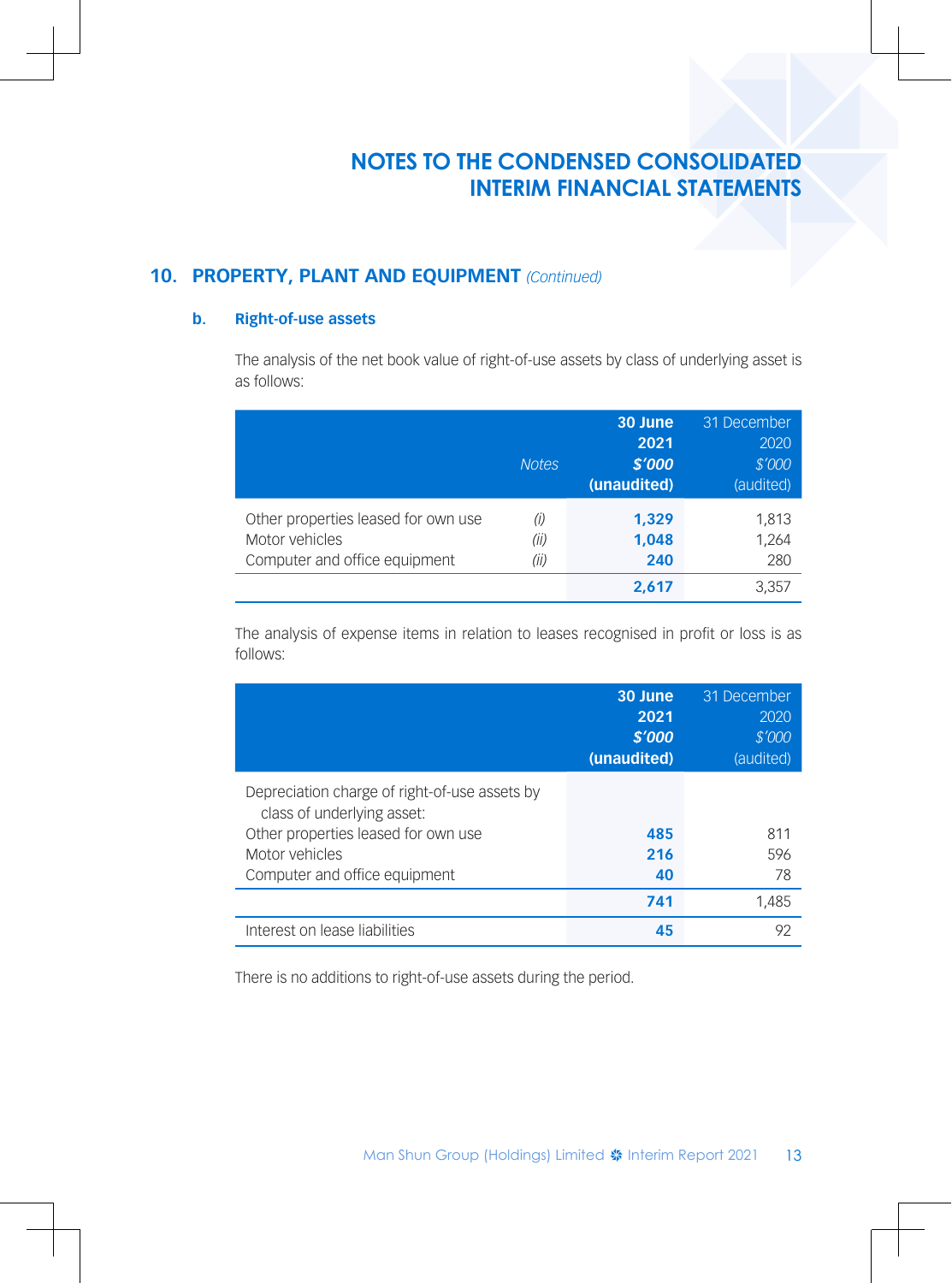### **10. PROPERTY, PLANT AND EQUIPMENT** *(Continued)*

#### **b. Right-of-use assets**

The analysis of the net book value of right-of-use assets by class of underlying asset is as follows:

|                                                                                        | <b>Notes</b>        | 30 June<br>2021<br>\$'000<br>(unaudited) | 31 December<br>2020<br>\$'000<br>(audited) |
|----------------------------------------------------------------------------------------|---------------------|------------------------------------------|--------------------------------------------|
| Other properties leased for own use<br>Motor vehicles<br>Computer and office equipment | (i)<br>(ii)<br>(ii) | 1.329<br>1.048<br>240                    | 1,813<br>1,264<br>280                      |
|                                                                                        |                     | 2,617                                    | 3.357                                      |

The analysis of expense items in relation to leases recognised in profit or loss is as follows:

|                                                                                                                                                                       | 30 June<br>2021<br>\$′000<br>(unaudited) | 31 December<br>2020<br>\$′000<br>(audited) |
|-----------------------------------------------------------------------------------------------------------------------------------------------------------------------|------------------------------------------|--------------------------------------------|
| Depreciation charge of right-of-use assets by<br>class of underlying asset:<br>Other properties leased for own use<br>Motor vehicles<br>Computer and office equipment | 485<br>216<br>40                         | 811<br>596<br>78                           |
|                                                                                                                                                                       | 741                                      | 1.485                                      |
| Interest on lease liabilities                                                                                                                                         | 45                                       | 92                                         |

There is no additions to right-of-use assets during the period.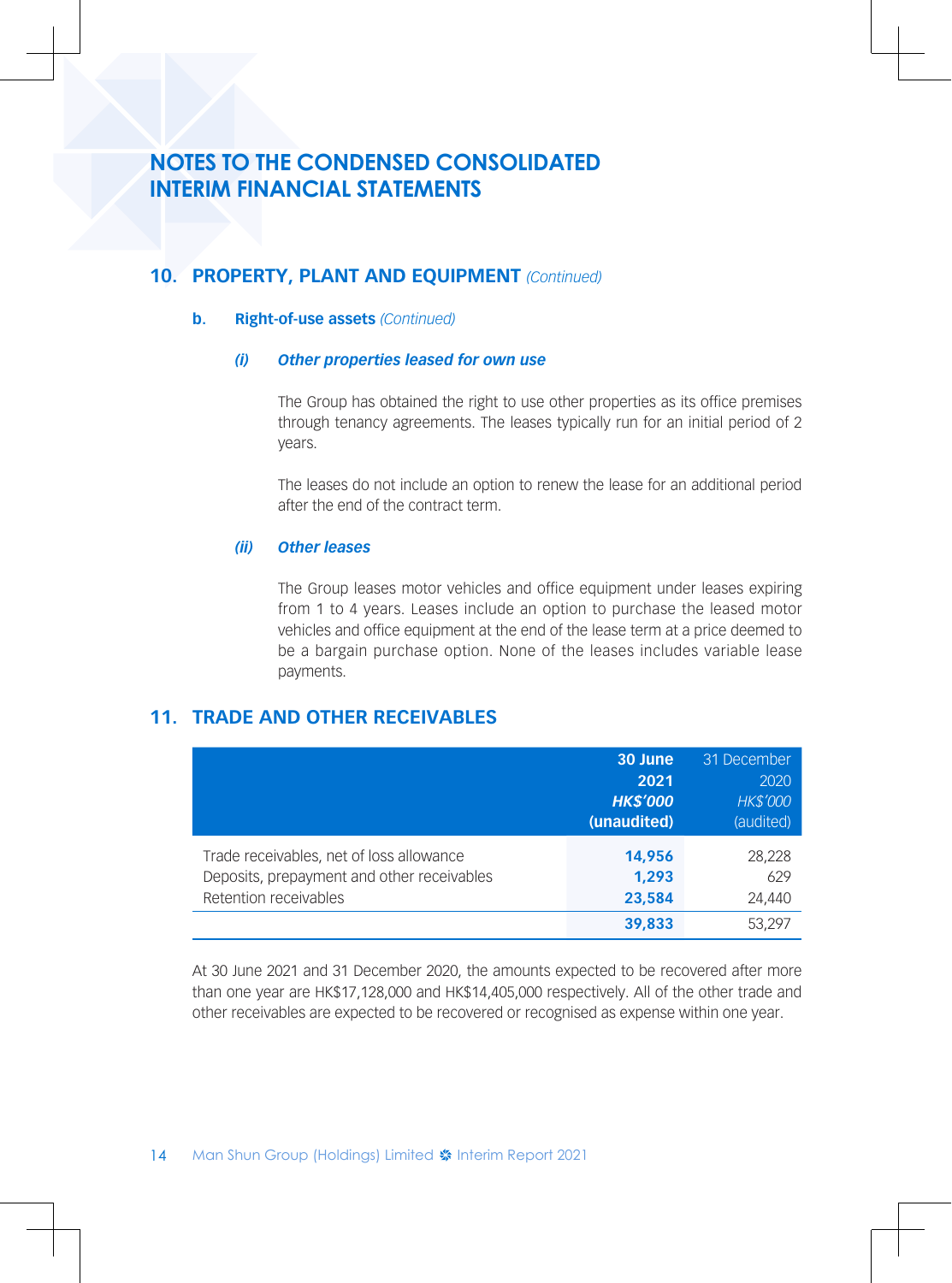### **10. PROPERTY, PLANT AND EQUIPMENT** *(Continued)*

#### **b. Right-of-use assets** *(Continued)*

#### *(i) Other properties leased for own use*

The Group has obtained the right to use other properties as its office premises through tenancy agreements. The leases typically run for an initial period of 2 years.

The leases do not include an option to renew the lease for an additional period after the end of the contract term.

#### *(ii) Other leases*

The Group leases motor vehicles and office equipment under leases expiring from 1 to 4 years. Leases include an option to purchase the leased motor vehicles and office equipment at the end of the lease term at a price deemed to be a bargain purchase option. None of the leases includes variable lease payments.

### **11. TRADE AND OTHER RECEIVABLES**

|                                                                                                                 | 30 June<br>2021<br><b>HK\$'000</b><br>(unaudited) | 31 December<br>2020<br><b>HK\$'000</b><br>(audited) |
|-----------------------------------------------------------------------------------------------------------------|---------------------------------------------------|-----------------------------------------------------|
| Trade receivables, net of loss allowance<br>Deposits, prepayment and other receivables<br>Retention receivables | 14.956<br>1.293<br>23.584                         | 28.228<br>629<br>24,440                             |
|                                                                                                                 | 39.833                                            | 53.297                                              |

At 30 June 2021 and 31 December 2020, the amounts expected to be recovered after more than one year are HK\$17,128,000 and HK\$14,405,000 respectively. All of the other trade and other receivables are expected to be recovered or recognised as expense within one year.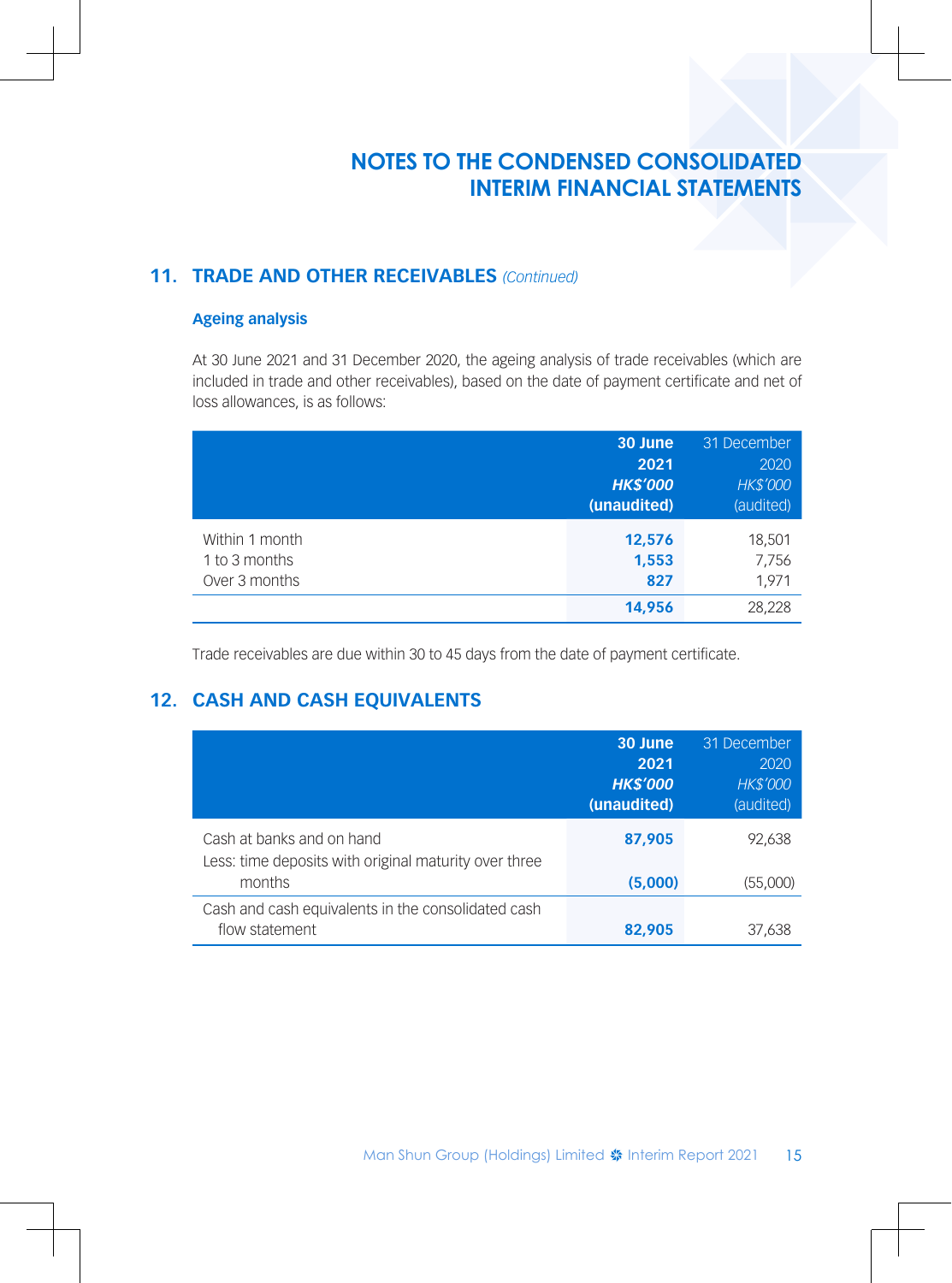### **11. TRADE AND OTHER RECEIVABLES** *(Continued)*

#### **Ageing analysis**

At 30 June 2021 and 31 December 2020, the ageing analysis of trade receivables (which are included in trade and other receivables), based on the date of payment certificate and net of loss allowances, is as follows:

|                                                  | 30 June<br>2021<br><b>HK\$'000</b><br>(unaudited) | 31 December<br>2020<br><b>HK\$'000</b><br>(audited) |
|--------------------------------------------------|---------------------------------------------------|-----------------------------------------------------|
| Within 1 month<br>1 to 3 months<br>Over 3 months | 12,576<br>1,553<br>827                            | 18,501<br>7,756<br>1,971                            |
|                                                  | 14,956                                            | 28,228                                              |

Trade receivables are due within 30 to 45 days from the date of payment certificate.

### **12. CASH AND CASH EQUIVALENTS**

|                                                                                    | 30 June<br>2021<br><b>HK\$'000</b><br>(unaudited) | 31 December<br>2020<br><b>HK\$'000</b><br>(audited) |
|------------------------------------------------------------------------------------|---------------------------------------------------|-----------------------------------------------------|
| Cash at banks and on hand<br>Less: time deposits with original maturity over three | 87,905                                            | 92,638                                              |
| months                                                                             | (5,000)                                           | (55,000)                                            |
| Cash and cash equivalents in the consolidated cash<br>flow statement               | 82,905                                            | 37,638                                              |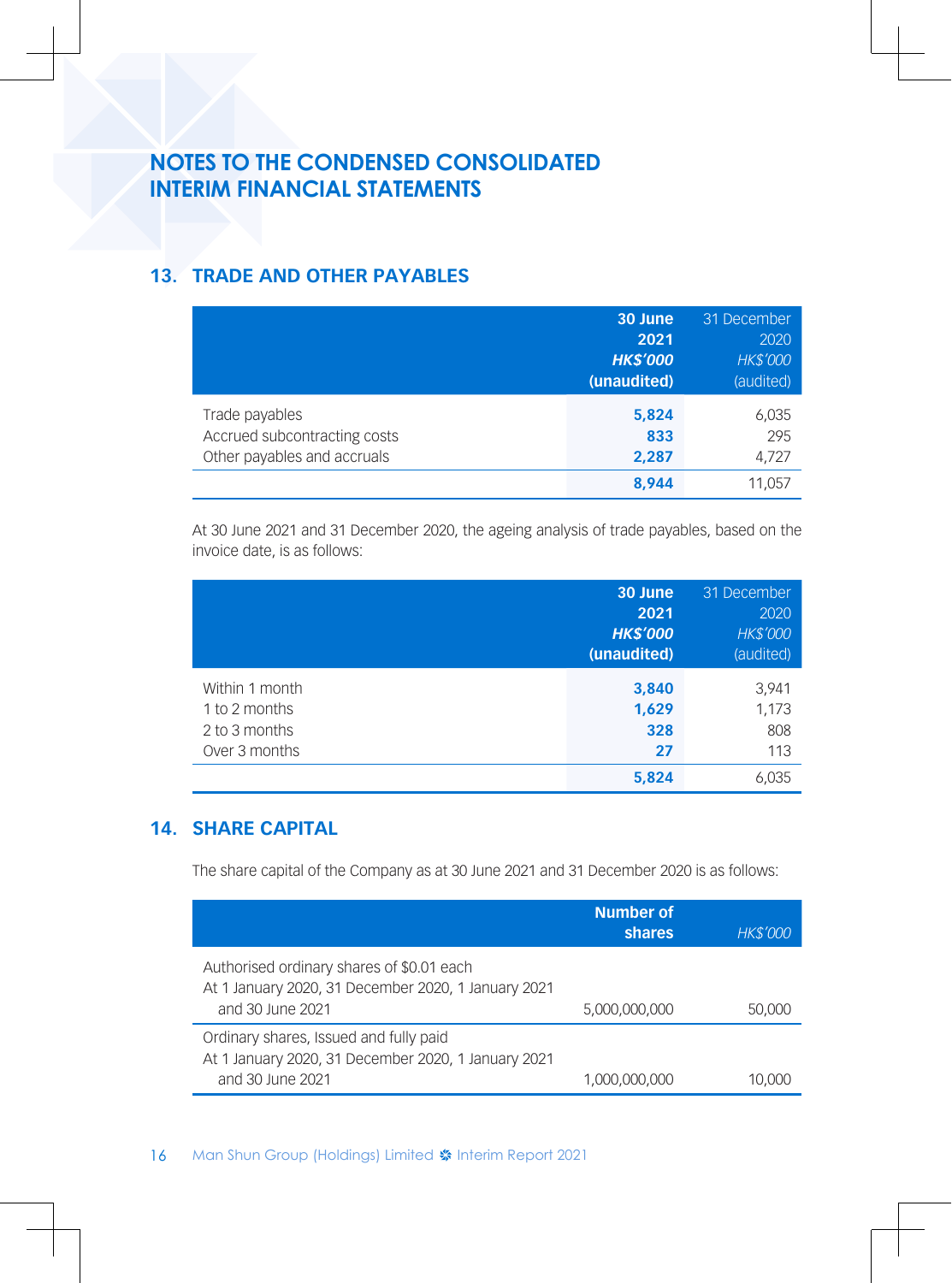### **13. TRADE AND OTHER PAYABLES**

|                                                                               | 30 June<br>2021<br><b>HKS'000</b><br>(unaudited) | 31 December<br>2020<br><b>HK\$'000</b><br>(audited) |
|-------------------------------------------------------------------------------|--------------------------------------------------|-----------------------------------------------------|
| Trade payables<br>Accrued subcontracting costs<br>Other payables and accruals | 5,824<br>833<br>2,287<br>8.944                   | 6,035<br>295<br>4.727<br>11.057                     |

At 30 June 2021 and 31 December 2020, the ageing analysis of trade payables, based on the invoice date, is as follows:

|                                                                   | 30 June<br>2021<br><b>HK\$'000</b><br>(unaudited) | 31 December<br>2020<br><b>HK\$'000</b><br>(audited) |
|-------------------------------------------------------------------|---------------------------------------------------|-----------------------------------------------------|
| Within 1 month<br>1 to 2 months<br>2 to 3 months<br>Over 3 months | 3,840<br>1,629<br>328<br>27                       | 3,941<br>1,173<br>808<br>113                        |
|                                                                   | 5,824                                             | 6,035                                               |

## **14. SHARE CAPITAL**

The share capital of the Company as at 30 June 2021 and 31 December 2020 is as follows:

|                                                                                                  | <b>Number of</b><br><b>shares</b> | <b>HK\$'000</b> |
|--------------------------------------------------------------------------------------------------|-----------------------------------|-----------------|
| Authorised ordinary shares of \$0.01 each<br>At 1 January 2020, 31 December 2020, 1 January 2021 |                                   |                 |
| and 30 June 2021                                                                                 | 5,000,000,000                     | 50,000          |
| Ordinary shares, Issued and fully paid<br>At 1 January 2020, 31 December 2020, 1 January 2021    |                                   |                 |
| and 30 June 2021                                                                                 | 1.000.000.000                     | 10.000          |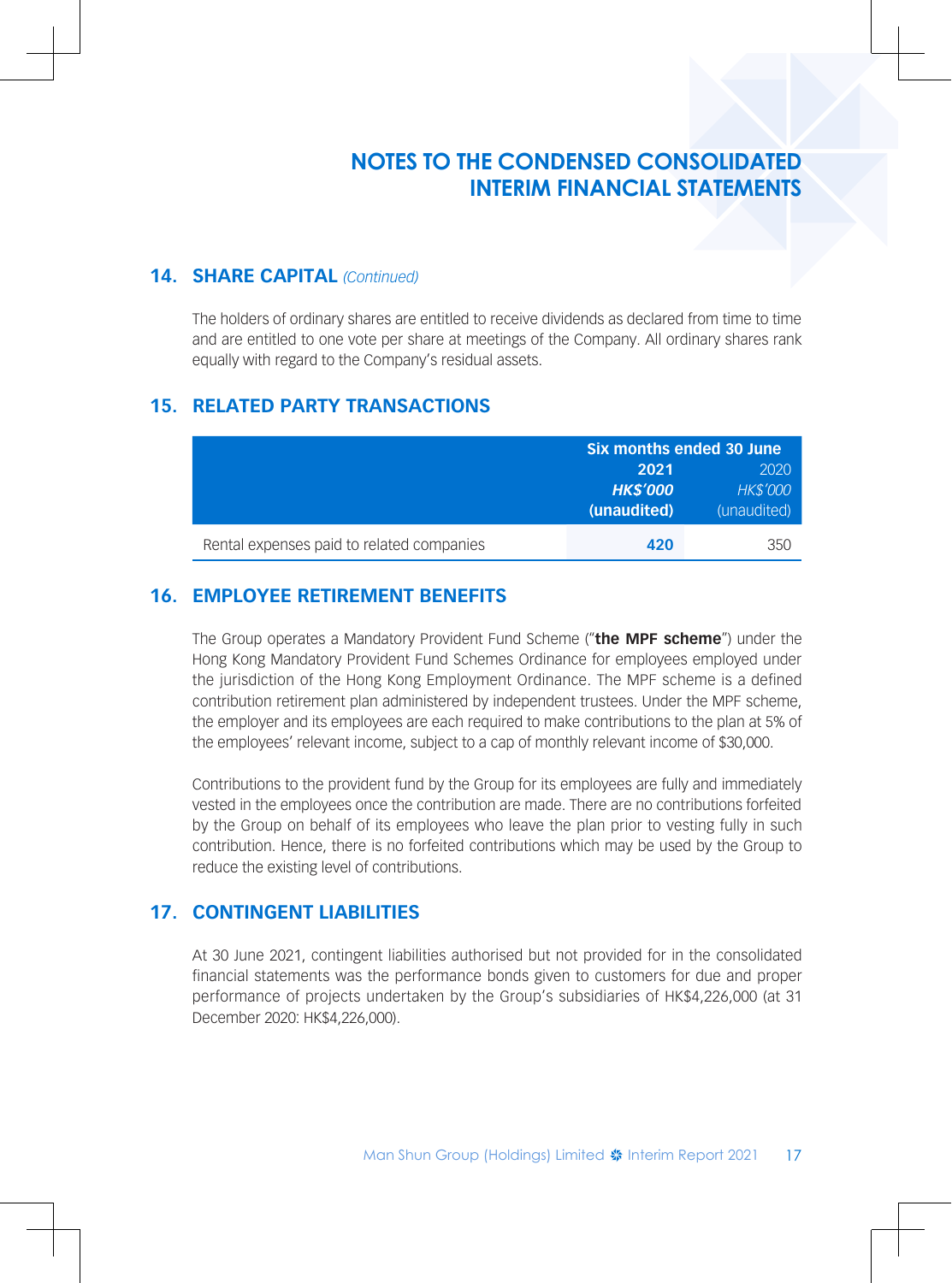### **14. SHARE CAPITAL** *(Continued)*

The holders of ordinary shares are entitled to receive dividends as declared from time to time and are entitled to one vote per share at meetings of the Company. All ordinary shares rank equally with regard to the Company's residual assets.

### **15. RELATED PARTY TRANSACTIONS**

|                                           | Six months ended 30 June |                 |
|-------------------------------------------|--------------------------|-----------------|
|                                           | 2021<br>2020             |                 |
|                                           | <b>HKS'000</b>           | <b>HK\$'000</b> |
|                                           | (unaudited)              | (unaudited)     |
| Rental expenses paid to related companies | 420                      | 350             |

### **16. EMPLOYEE RETIREMENT BENEFITS**

The Group operates a Mandatory Provident Fund Scheme ("**the MPF scheme**") under the Hong Kong Mandatory Provident Fund Schemes Ordinance for employees employed under the jurisdiction of the Hong Kong Employment Ordinance. The MPF scheme is a defined contribution retirement plan administered by independent trustees. Under the MPF scheme, the employer and its employees are each required to make contributions to the plan at 5% of the employees' relevant income, subject to a cap of monthly relevant income of \$30,000.

Contributions to the provident fund by the Group for its employees are fully and immediately vested in the employees once the contribution are made. There are no contributions forfeited by the Group on behalf of its employees who leave the plan prior to vesting fully in such contribution. Hence, there is no forfeited contributions which may be used by the Group to reduce the existing level of contributions.

### **17. CONTINGENT LIABILITIES**

At 30 June 2021, contingent liabilities authorised but not provided for in the consolidated financial statements was the performance bonds given to customers for due and proper performance of projects undertaken by the Group's subsidiaries of HK\$4,226,000 (at 31 December 2020: HK\$4,226,000).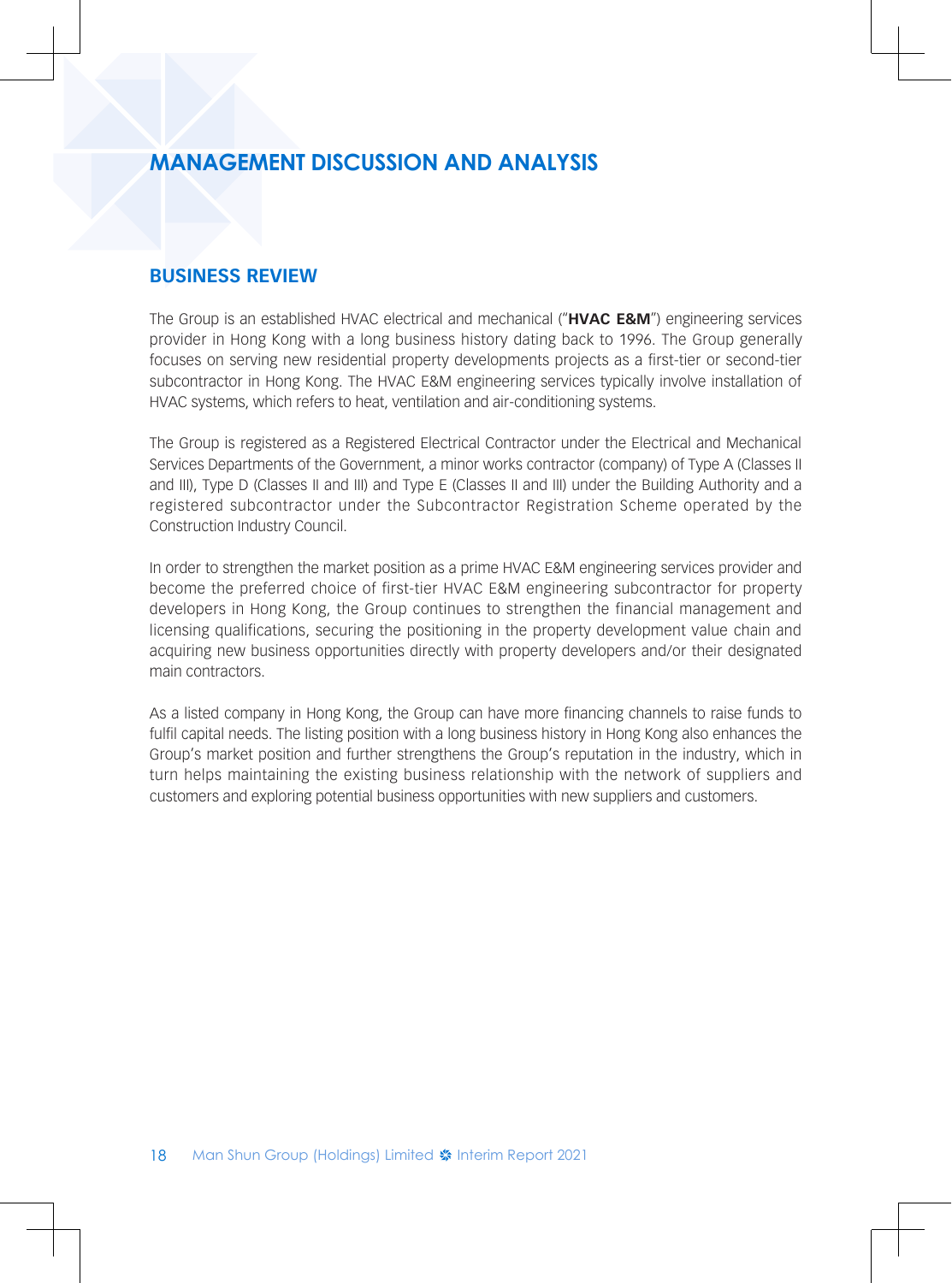### **BUSINESS REVIEW**

The Group is an established HVAC electrical and mechanical ("**HVAC E&M**") engineering services provider in Hong Kong with a long business history dating back to 1996. The Group generally focuses on serving new residential property developments projects as a first-tier or second-tier subcontractor in Hong Kong. The HVAC E&M engineering services typically involve installation of HVAC systems, which refers to heat, ventilation and air-conditioning systems.

The Group is registered as a Registered Electrical Contractor under the Electrical and Mechanical Services Departments of the Government, a minor works contractor (company) of Type A (Classes II and III), Type D (Classes II and III) and Type E (Classes II and III) under the Building Authority and a registered subcontractor under the Subcontractor Registration Scheme operated by the Construction Industry Council.

In order to strengthen the market position as a prime HVAC E&M engineering services provider and become the preferred choice of first-tier HVAC E&M engineering subcontractor for property developers in Hong Kong, the Group continues to strengthen the financial management and licensing qualifications, securing the positioning in the property development value chain and acquiring new business opportunities directly with property developers and/or their designated main contractors.

As a listed company in Hong Kong, the Group can have more financing channels to raise funds to fulfil capital needs. The listing position with a long business history in Hong Kong also enhances the Group's market position and further strengthens the Group's reputation in the industry, which in turn helps maintaining the existing business relationship with the network of suppliers and customers and exploring potential business opportunities with new suppliers and customers.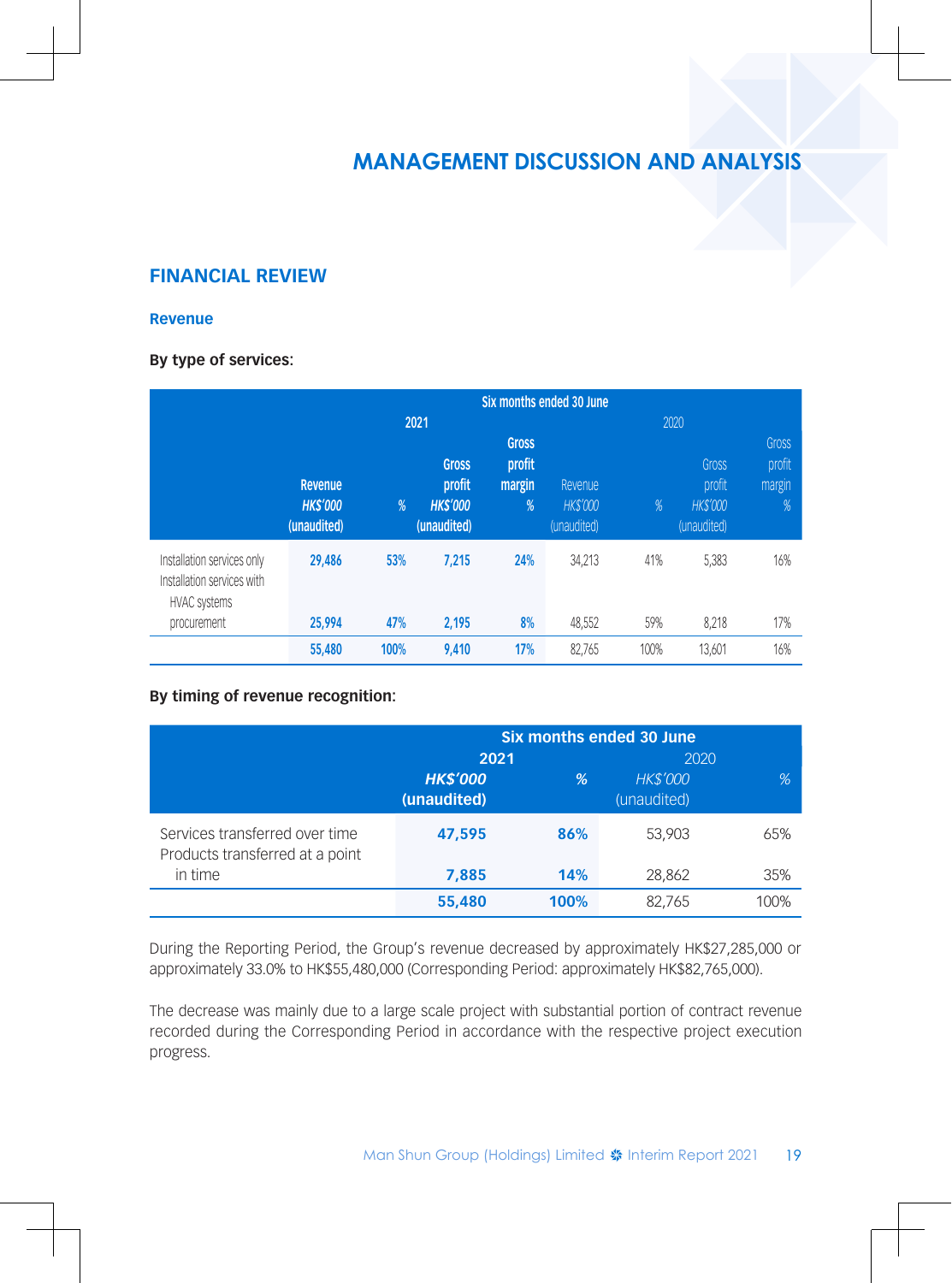### **FINANCIAL REVIEW**

#### **Revenue**

#### **By type of services:**

|                                                                  | Six months ended 30 June  |      |                                                  |                                       |                            |      |                                            |                                |
|------------------------------------------------------------------|---------------------------|------|--------------------------------------------------|---------------------------------------|----------------------------|------|--------------------------------------------|--------------------------------|
|                                                                  | Revenue<br><b>HKS'000</b> | %    | 2021<br><b>Gross</b><br>profit<br><b>HKS'000</b> | <b>Gross</b><br>profit<br>margin<br>% | Revenue<br><b>HK\$'000</b> | %    | 2020<br>Gross<br>profit<br><b>HK\$'000</b> | Gross<br>profit<br>margin<br>% |
| Installation services only                                       | (unaudited)<br>29,486     | 53%  | (unaudited)<br>7.215                             | 24%                                   | (unaudited)<br>34,213      | 41%  | (unaudited)<br>5,383                       | 16%                            |
| Installation services with<br><b>HVAC systems</b><br>procurement | 25.994                    | 47%  | 2,195                                            | 8%                                    | 48,552                     | 59%  | 8,218                                      | 17%                            |
|                                                                  | 55,480                    | 100% | 9,410                                            | 17%                                   | 82,765                     | 100% | 13.601                                     | 16%                            |

#### **By timing of revenue recognition:**

|                                                                   | Six months ended 30 June      |      |                                |      |
|-------------------------------------------------------------------|-------------------------------|------|--------------------------------|------|
|                                                                   |                               | 2021 |                                | 2020 |
|                                                                   | <b>HKS'000</b><br>(unaudited) | %    | <b>HK\$'000</b><br>(unaudited) | %    |
| Services transferred over time<br>Products transferred at a point | 47.595                        | 86%  | 53.903                         | 65%  |
| in time                                                           | 7.885                         | 14%  | 28.862                         | 35%  |
|                                                                   | 55,480                        | 100% | 82.765                         | 100% |

During the Reporting Period, the Group's revenue decreased by approximately HK\$27,285,000 or approximately 33.0% to HK\$55,480,000 (Corresponding Period: approximately HK\$82,765,000).

The decrease was mainly due to a large scale project with substantial portion of contract revenue recorded during the Corresponding Period in accordance with the respective project execution progress.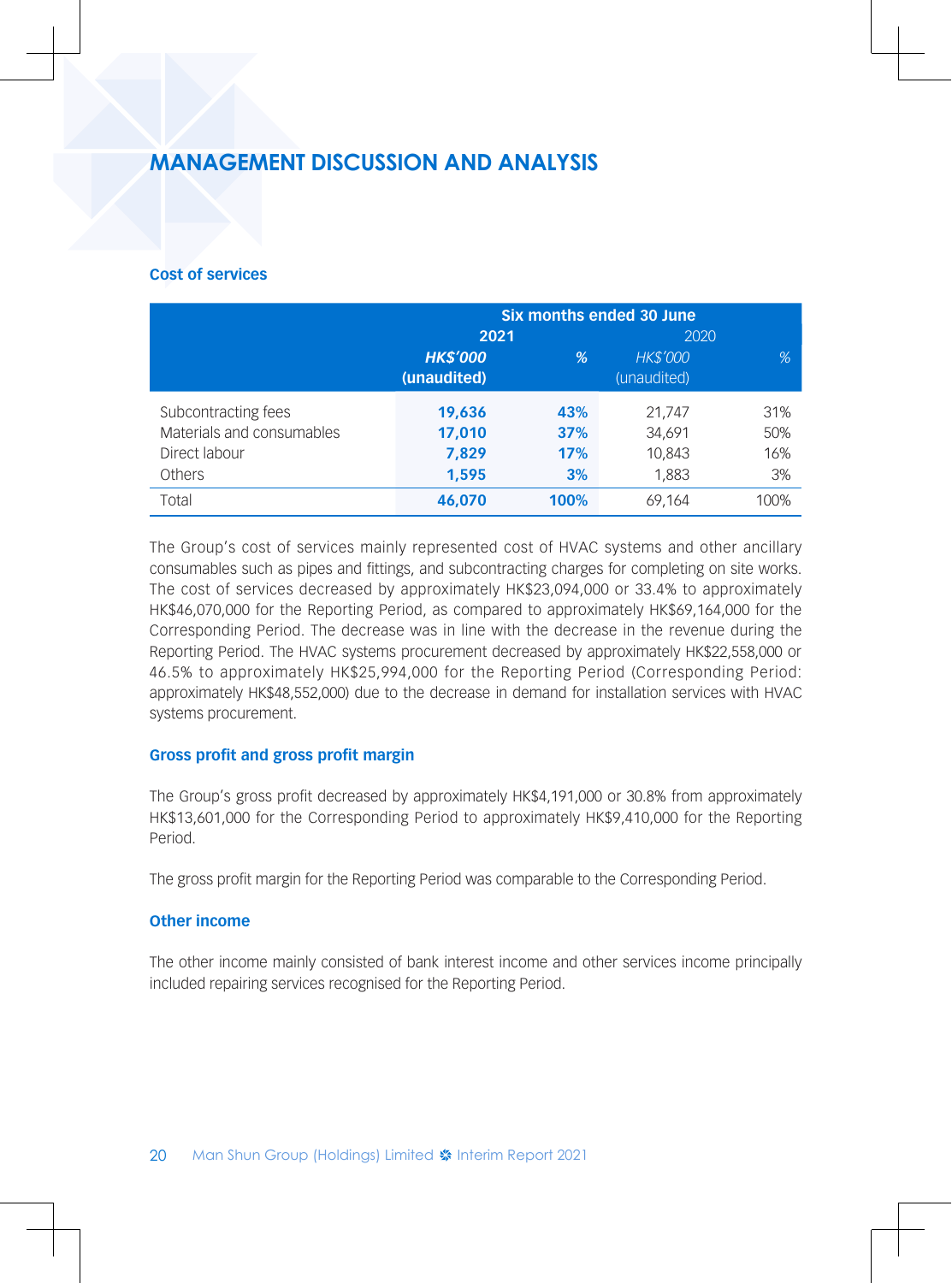#### **Cost of services**

|                           | Six months ended 30 June      |      |                                |      |
|---------------------------|-------------------------------|------|--------------------------------|------|
|                           | 2021                          |      | 2020                           |      |
|                           | <b>HKS'000</b><br>(unaudited) | %    | <b>HK\$'000</b><br>(unaudited) | %    |
| Subcontracting fees       | 19,636                        | 43%  | 21.747                         | 31%  |
| Materials and consumables | 17,010                        | 37%  | 34.691                         | 50%  |
| Direct labour             | 7.829                         | 17%  | 10.843                         | 16%  |
| <b>Others</b>             | 1.595                         | 3%   | 1,883                          | 3%   |
| Total                     | 46,070                        | 100% | 69.164                         | 100% |

The Group's cost of services mainly represented cost of HVAC systems and other ancillary consumables such as pipes and fittings, and subcontracting charges for completing on site works. The cost of services decreased by approximately HK\$23,094,000 or 33.4% to approximately HK\$46,070,000 for the Reporting Period, as compared to approximately HK\$69,164,000 for the Corresponding Period. The decrease was in line with the decrease in the revenue during the Reporting Period. The HVAC systems procurement decreased by approximately HK\$22,558,000 or 46.5% to approximately HK\$25,994,000 for the Reporting Period (Corresponding Period: approximately HK\$48,552,000) due to the decrease in demand for installation services with HVAC systems procurement.

#### **Gross profit and gross profit margin**

The Group's gross profit decreased by approximately HK\$4,191,000 or 30.8% from approximately HK\$13,601,000 for the Corresponding Period to approximately HK\$9,410,000 for the Reporting Period.

The gross profit margin for the Reporting Period was comparable to the Corresponding Period.

#### **Other income**

The other income mainly consisted of bank interest income and other services income principally included repairing services recognised for the Reporting Period.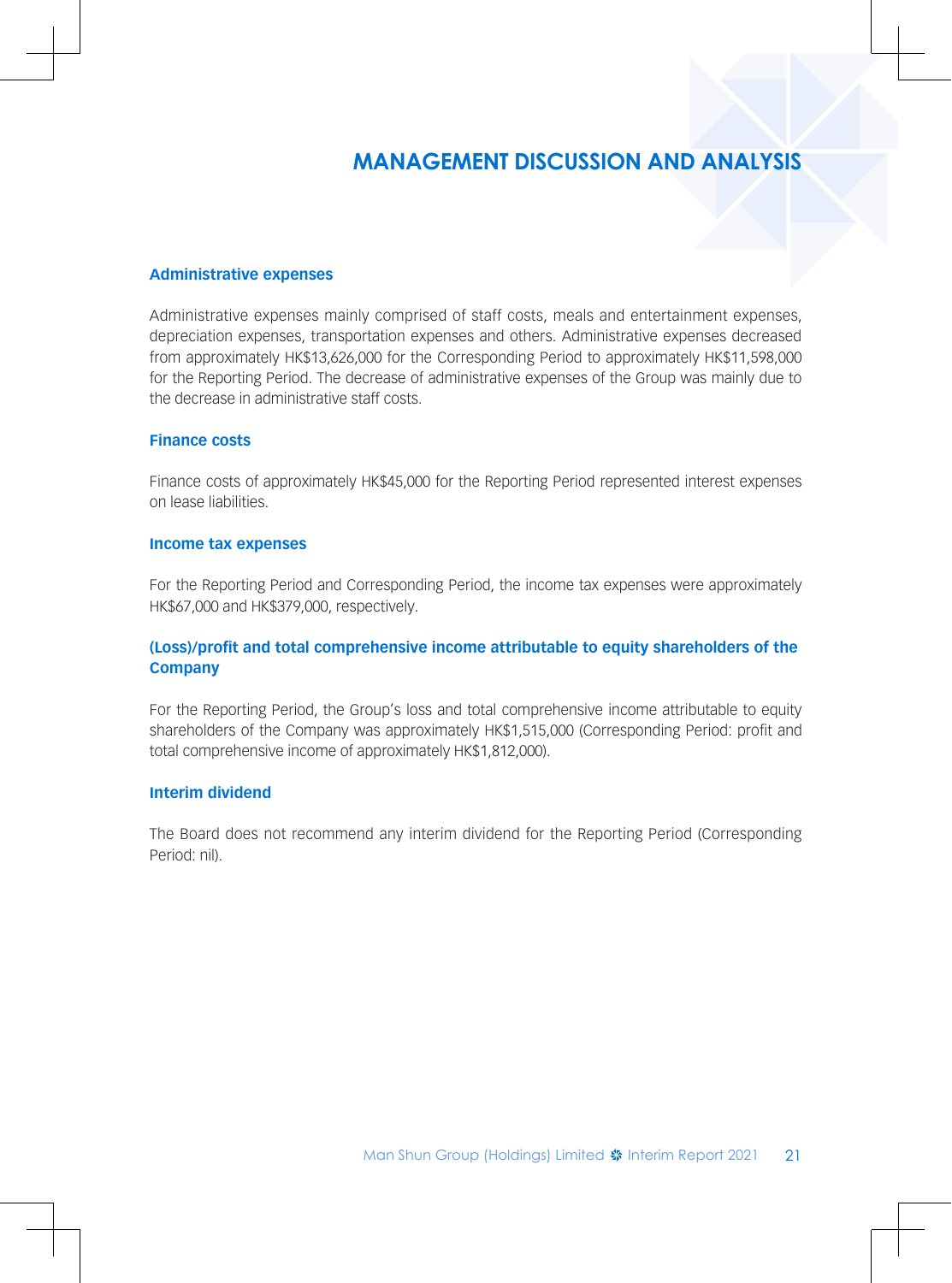#### **Administrative expenses**

Administrative expenses mainly comprised of staff costs, meals and entertainment expenses, depreciation expenses, transportation expenses and others. Administrative expenses decreased from approximately HK\$13,626,000 for the Corresponding Period to approximately HK\$11,598,000 for the Reporting Period. The decrease of administrative expenses of the Group was mainly due to the decrease in administrative staff costs.

#### **Finance costs**

Finance costs of approximately HK\$45,000 for the Reporting Period represented interest expenses on lease liabilities.

#### **Income tax expenses**

For the Reporting Period and Corresponding Period, the income tax expenses were approximately HK\$67,000 and HK\$379,000, respectively.

#### **(Loss)/profit and total comprehensive income attributable to equity shareholders of the Company**

For the Reporting Period, the Group's loss and total comprehensive income attributable to equity shareholders of the Company was approximately HK\$1,515,000 (Corresponding Period: profit and total comprehensive income of approximately HK\$1,812,000).

#### **Interim dividend**

The Board does not recommend any interim dividend for the Reporting Period (Corresponding Period: nil).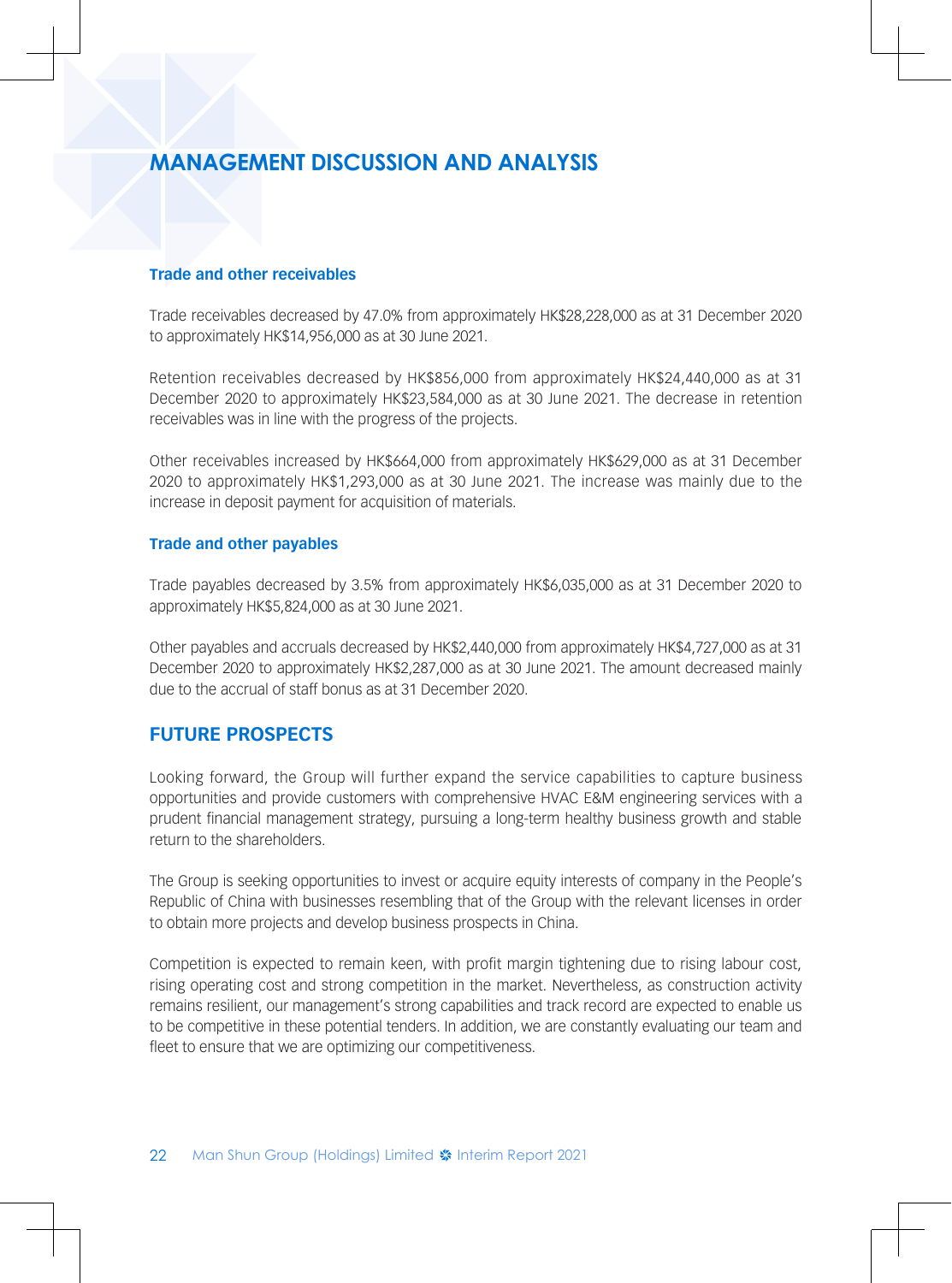#### **Trade and other receivables**

Trade receivables decreased by 47.0% from approximately HK\$28,228,000 as at 31 December 2020 to approximately HK\$14,956,000 as at 30 June 2021.

Retention receivables decreased by HK\$856,000 from approximately HK\$24,440,000 as at 31 December 2020 to approximately HK\$23,584,000 as at 30 June 2021. The decrease in retention receivables was in line with the progress of the projects.

Other receivables increased by HK\$664,000 from approximately HK\$629,000 as at 31 December 2020 to approximately HK\$1,293,000 as at 30 June 2021. The increase was mainly due to the increase in deposit payment for acquisition of materials.

#### **Trade and other payables**

Trade payables decreased by 3.5% from approximately HK\$6,035,000 as at 31 December 2020 to approximately HK\$5,824,000 as at 30 June 2021.

Other payables and accruals decreased by HK\$2,440,000 from approximately HK\$4,727,000 as at 31 December 2020 to approximately HK\$2,287,000 as at 30 June 2021. The amount decreased mainly due to the accrual of staff bonus as at 31 December 2020.

### **FUTURE PROSPECTS**

Looking forward, the Group will further expand the service capabilities to capture business opportunities and provide customers with comprehensive HVAC E&M engineering services with a prudent financial management strategy, pursuing a long-term healthy business growth and stable return to the shareholders.

The Group is seeking opportunities to invest or acquire equity interests of company in the People's Republic of China with businesses resembling that of the Group with the relevant licenses in order to obtain more projects and develop business prospects in China.

Competition is expected to remain keen, with profit margin tightening due to rising labour cost, rising operating cost and strong competition in the market. Nevertheless, as construction activity remains resilient, our management's strong capabilities and track record are expected to enable us to be competitive in these potential tenders. In addition, we are constantly evaluating our team and fleet to ensure that we are optimizing our competitiveness.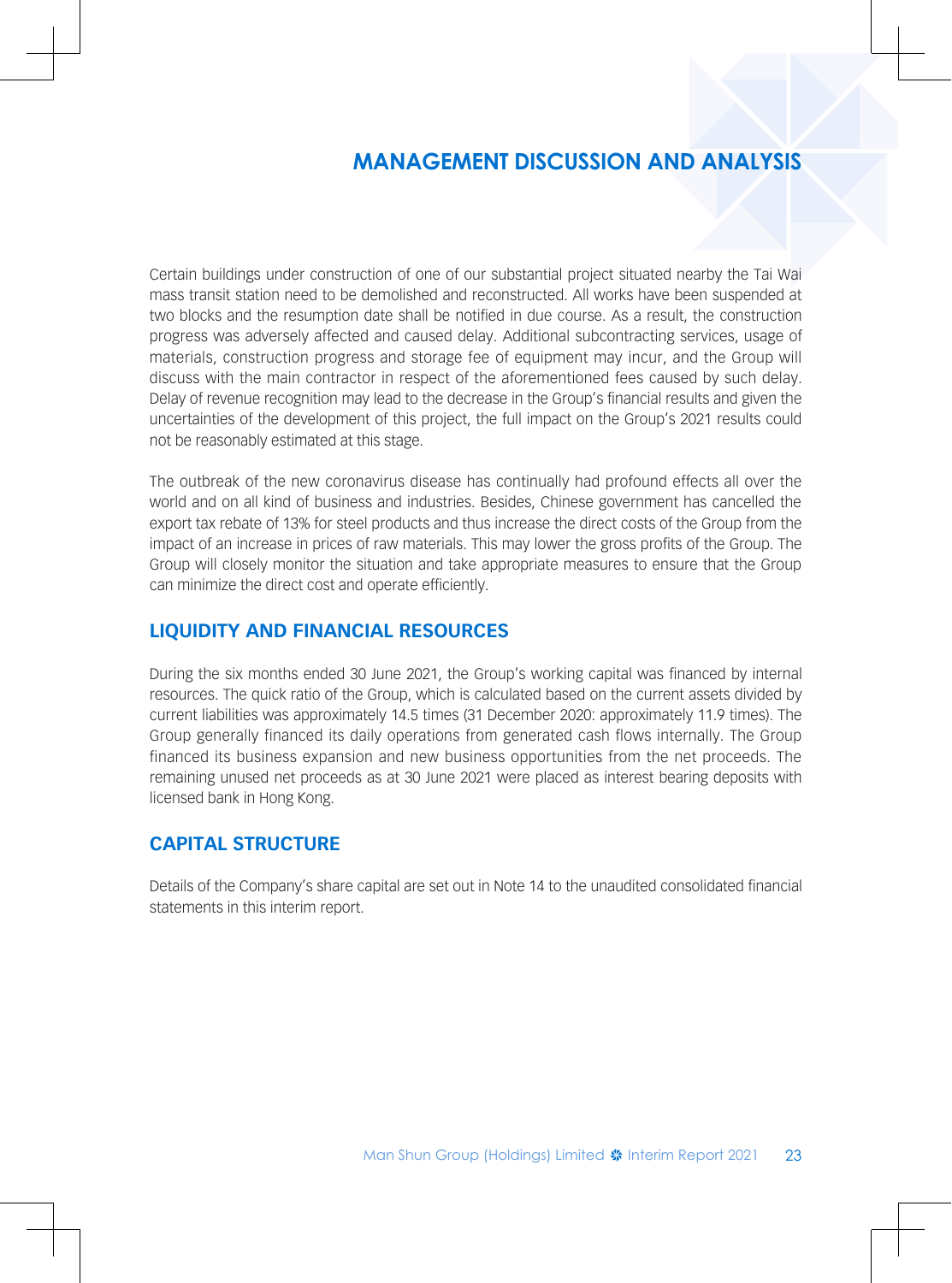Certain buildings under construction of one of our substantial project situated nearby the Tai Wai mass transit station need to be demolished and reconstructed. All works have been suspended at two blocks and the resumption date shall be notified in due course. As a result, the construction progress was adversely affected and caused delay. Additional subcontracting services, usage of materials, construction progress and storage fee of equipment may incur, and the Group will discuss with the main contractor in respect of the aforementioned fees caused by such delay. Delay of revenue recognition may lead to the decrease in the Group's financial results and given the uncertainties of the development of this project, the full impact on the Group's 2021 results could not be reasonably estimated at this stage.

The outbreak of the new coronavirus disease has continually had profound effects all over the world and on all kind of business and industries. Besides, Chinese government has cancelled the export tax rebate of 13% for steel products and thus increase the direct costs of the Group from the impact of an increase in prices of raw materials. This may lower the gross profits of the Group. The Group will closely monitor the situation and take appropriate measures to ensure that the Group can minimize the direct cost and operate efficiently.

#### **LIQUIDITY AND FINANCIAL RESOURCES**

During the six months ended 30 June 2021, the Group's working capital was financed by internal resources. The quick ratio of the Group, which is calculated based on the current assets divided by current liabilities was approximately 14.5 times (31 December 2020: approximately 11.9 times). The Group generally financed its daily operations from generated cash flows internally. The Group financed its business expansion and new business opportunities from the net proceeds. The remaining unused net proceeds as at 30 June 2021 were placed as interest bearing deposits with licensed bank in Hong Kong.

### **CAPITAL STRUCTURE**

Details of the Company's share capital are set out in Note 14 to the unaudited consolidated financial statements in this interim report.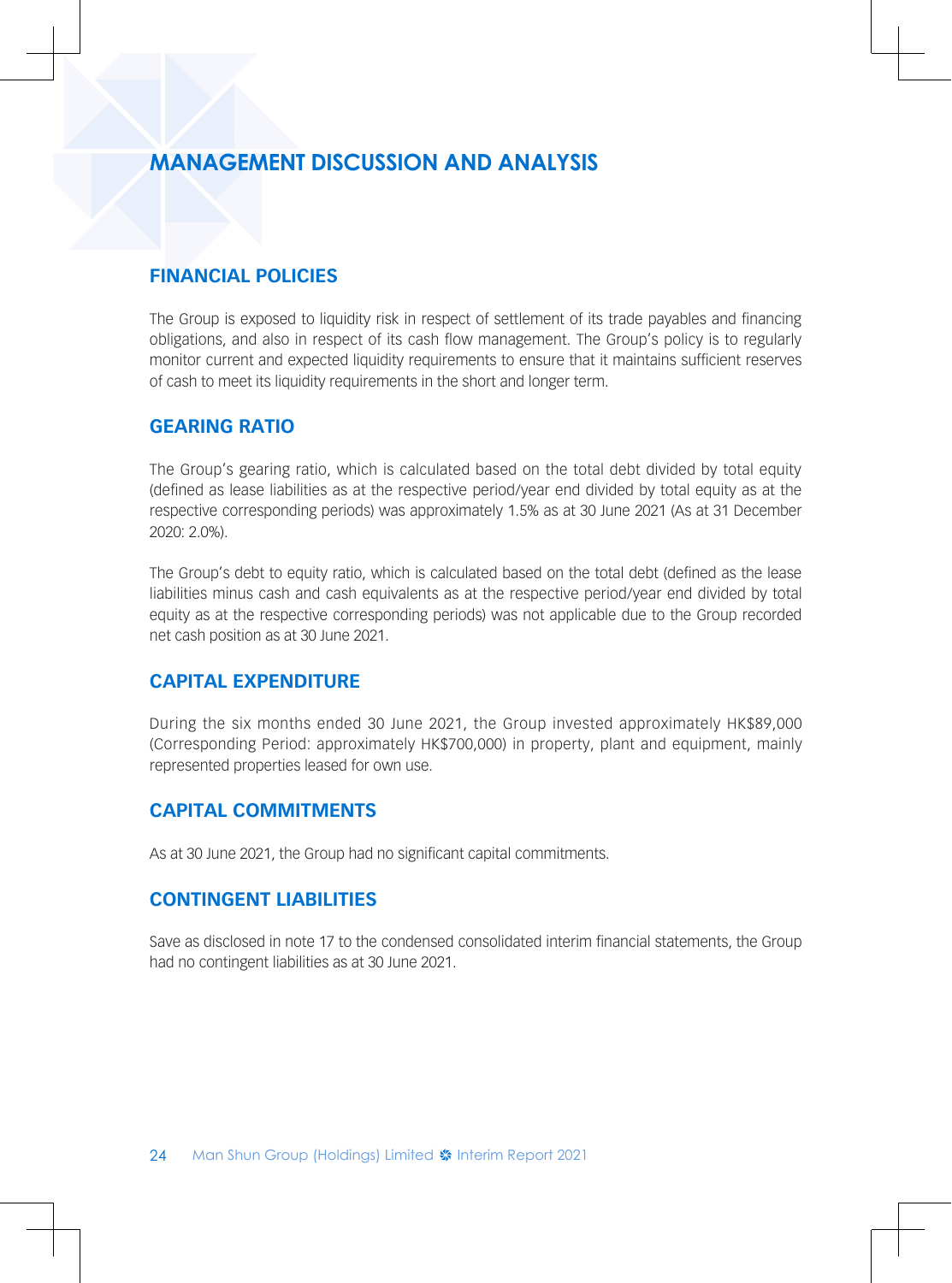### **FINANCIAL POLICIES**

The Group is exposed to liquidity risk in respect of settlement of its trade payables and financing obligations, and also in respect of its cash flow management. The Group's policy is to regularly monitor current and expected liquidity requirements to ensure that it maintains sufficient reserves of cash to meet its liquidity requirements in the short and longer term.

### **GEARING RATIO**

The Group's gearing ratio, which is calculated based on the total debt divided by total equity (defined as lease liabilities as at the respective period/year end divided by total equity as at the respective corresponding periods) was approximately 1.5% as at 30 June 2021 (As at 31 December 2020: 2.0%).

The Group's debt to equity ratio, which is calculated based on the total debt (defined as the lease liabilities minus cash and cash equivalents as at the respective period/year end divided by total equity as at the respective corresponding periods) was not applicable due to the Group recorded net cash position as at 30 June 2021.

### **CAPITAL EXPENDITURE**

During the six months ended 30 June 2021, the Group invested approximately HK\$89,000 (Corresponding Period: approximately HK\$700,000) in property, plant and equipment, mainly represented properties leased for own use.

### **CAPITAL COMMITMENTS**

As at 30 June 2021, the Group had no significant capital commitments.

### **CONTINGENT LIABILITIES**

Save as disclosed in note 17 to the condensed consolidated interim financial statements, the Group had no contingent liabilities as at 30 June 2021.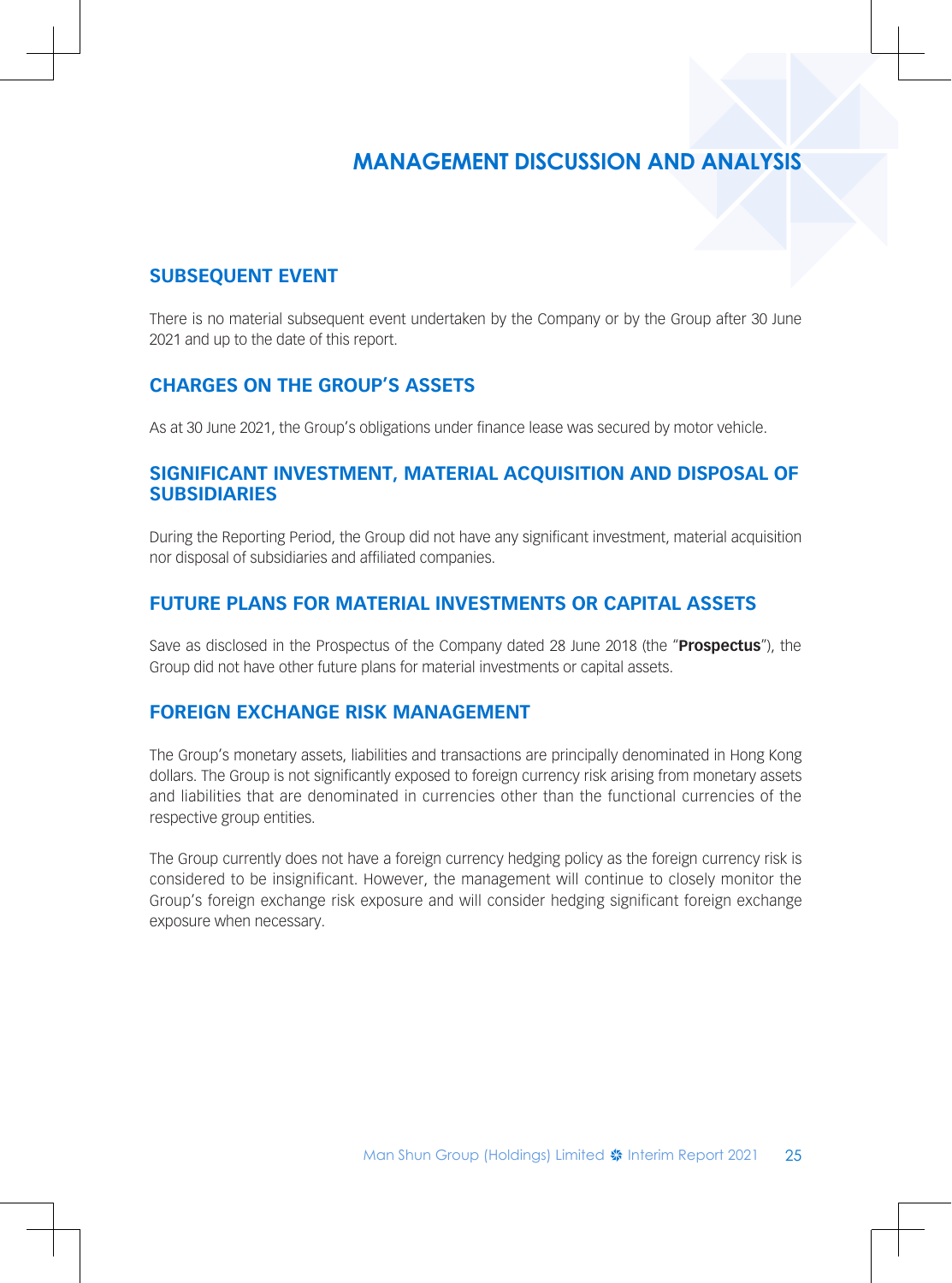### **SUBSEQUENT EVENT**

There is no material subsequent event undertaken by the Company or by the Group after 30 June 2021 and up to the date of this report.

#### **CHARGES ON THE GROUP'S ASSETS**

As at 30 June 2021, the Group's obligations under finance lease was secured by motor vehicle.

#### **SIGNIFICANT INVESTMENT, MATERIAL ACQUISITION AND DISPOSAL OF SUBSIDIARIES**

During the Reporting Period, the Group did not have any significant investment, material acquisition nor disposal of subsidiaries and affiliated companies.

### **FUTURE PLANS FOR MATERIAL INVESTMENTS OR CAPITAL ASSETS**

Save as disclosed in the Prospectus of the Company dated 28 June 2018 (the "**Prospectus**"), the Group did not have other future plans for material investments or capital assets.

#### **FOREIGN EXCHANGE RISK MANAGEMENT**

The Group's monetary assets, liabilities and transactions are principally denominated in Hong Kong dollars. The Group is not significantly exposed to foreign currency risk arising from monetary assets and liabilities that are denominated in currencies other than the functional currencies of the respective group entities.

The Group currently does not have a foreign currency hedging policy as the foreign currency risk is considered to be insignificant. However, the management will continue to closely monitor the Group's foreign exchange risk exposure and will consider hedging significant foreign exchange exposure when necessary.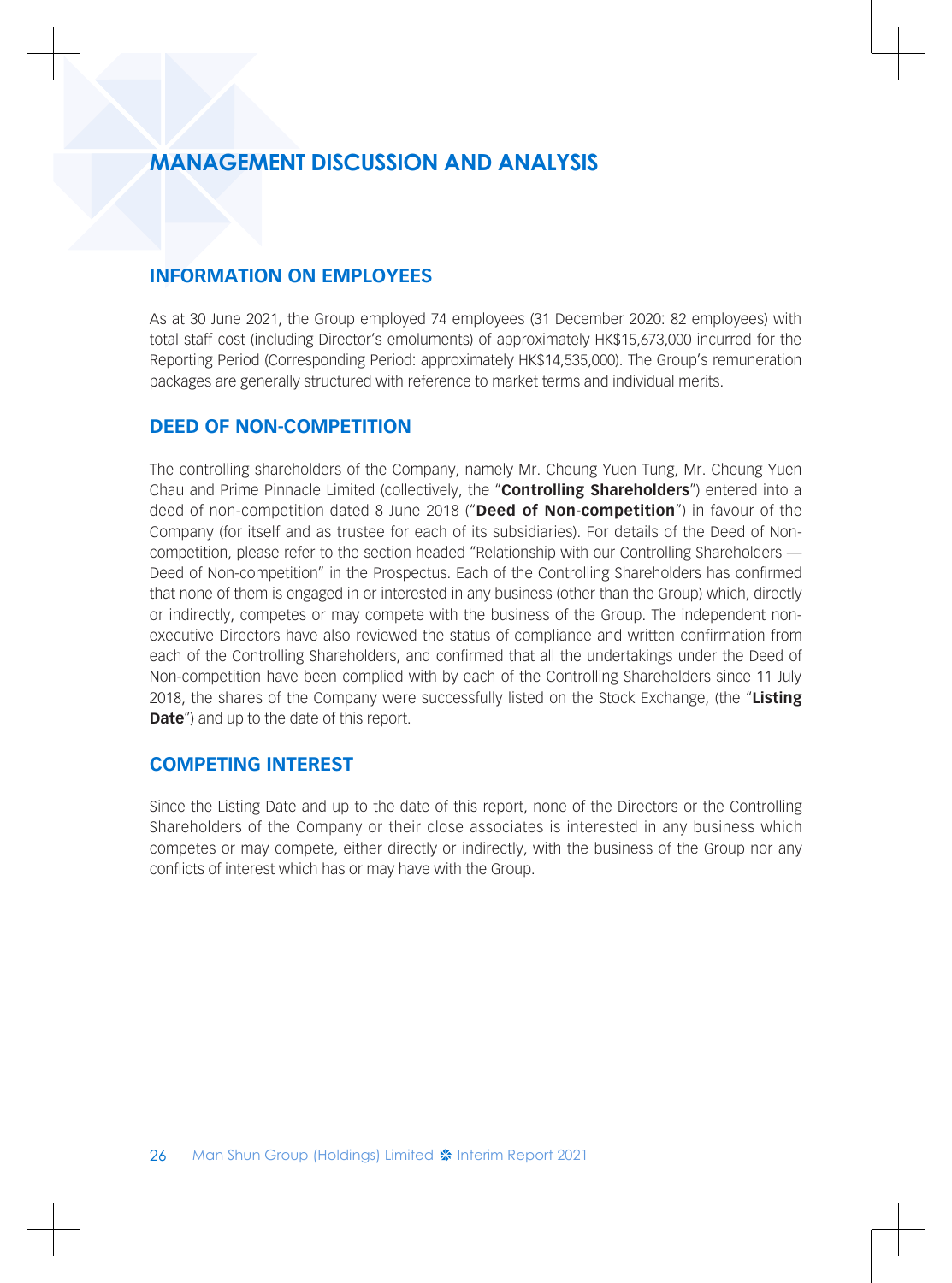### **INFORMATION ON EMPLOYEES**

As at 30 June 2021, the Group employed 74 employees (31 December 2020: 82 employees) with total staff cost (including Director's emoluments) of approximately HK\$15,673,000 incurred for the Reporting Period (Corresponding Period: approximately HK\$14,535,000). The Group's remuneration packages are generally structured with reference to market terms and individual merits.

### **DEED OF NON-COMPETITION**

The controlling shareholders of the Company, namely Mr. Cheung Yuen Tung, Mr. Cheung Yuen Chau and Prime Pinnacle Limited (collectively, the "**Controlling Shareholders**") entered into a deed of non-competition dated 8 June 2018 ("**Deed of Non-competition**") in favour of the Company (for itself and as trustee for each of its subsidiaries). For details of the Deed of Noncompetition, please refer to the section headed "Relationship with our Controlling Shareholders — Deed of Non-competition" in the Prospectus. Each of the Controlling Shareholders has confirmed that none of them is engaged in or interested in any business (other than the Group) which, directly or indirectly, competes or may compete with the business of the Group. The independent nonexecutive Directors have also reviewed the status of compliance and written confirmation from each of the Controlling Shareholders, and confirmed that all the undertakings under the Deed of Non-competition have been complied with by each of the Controlling Shareholders since 11 July 2018, the shares of the Company were successfully listed on the Stock Exchange, (the "**Listing Date**") and up to the date of this report.

### **COMPETING INTEREST**

Since the Listing Date and up to the date of this report, none of the Directors or the Controlling Shareholders of the Company or their close associates is interested in any business which competes or may compete, either directly or indirectly, with the business of the Group nor any conflicts of interest which has or may have with the Group.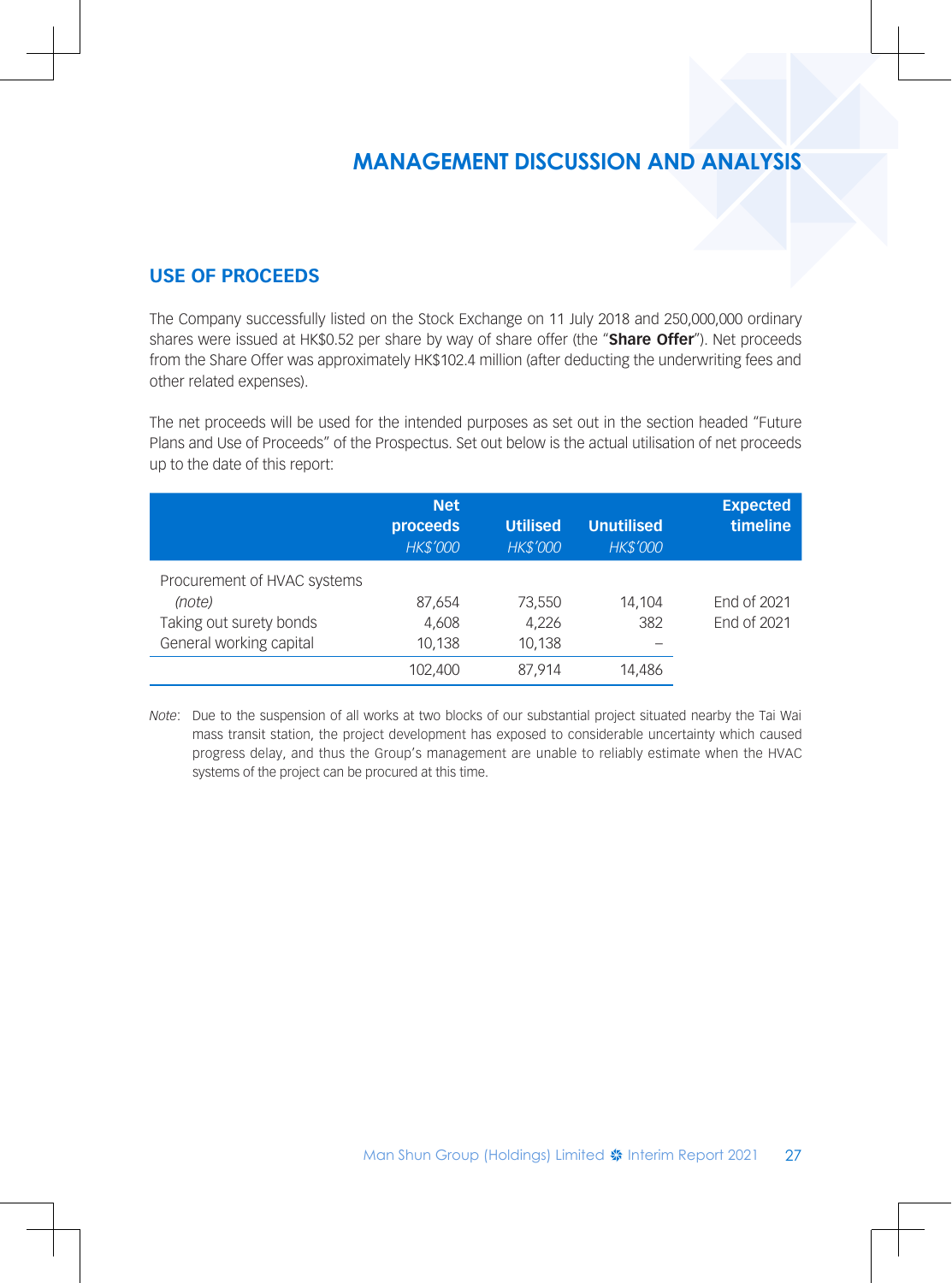### **USE OF PROCEEDS**

The Company successfully listed on the Stock Exchange on 11 July 2018 and 250,000,000 ordinary shares were issued at HK\$0.52 per share by way of share offer (the "**Share Offer**"). Net proceeds from the Share Offer was approximately HK\$102.4 million (after deducting the underwriting fees and other related expenses).

The net proceeds will be used for the intended purposes as set out in the section headed "Future Plans and Use of Proceeds" of the Prospectus. Set out below is the actual utilisation of net proceeds up to the date of this report:

|                                                                                             | <b>Net</b><br>proceeds<br><b>HK\$'000</b> | <b>Utilised</b><br><b>HK\$'000</b> | <b>Unutilised</b><br><b>HK\$'000</b> | <b>Expected</b><br>timeline |
|---------------------------------------------------------------------------------------------|-------------------------------------------|------------------------------------|--------------------------------------|-----------------------------|
| Procurement of HVAC systems<br>(note)<br>Taking out surety bonds<br>General working capital | 87,654<br>4,608<br>10.138                 | 73,550<br>4.226<br>10.138          | 14,104<br>382                        | End of 2021<br>End of 2021  |
|                                                                                             | 102.400                                   | 87.914                             | 14.486                               |                             |

*Note*: Due to the suspension of all works at two blocks of our substantial project situated nearby the Tai Wai mass transit station, the project development has exposed to considerable uncertainty which caused progress delay, and thus the Group's management are unable to reliably estimate when the HVAC systems of the project can be procured at this time.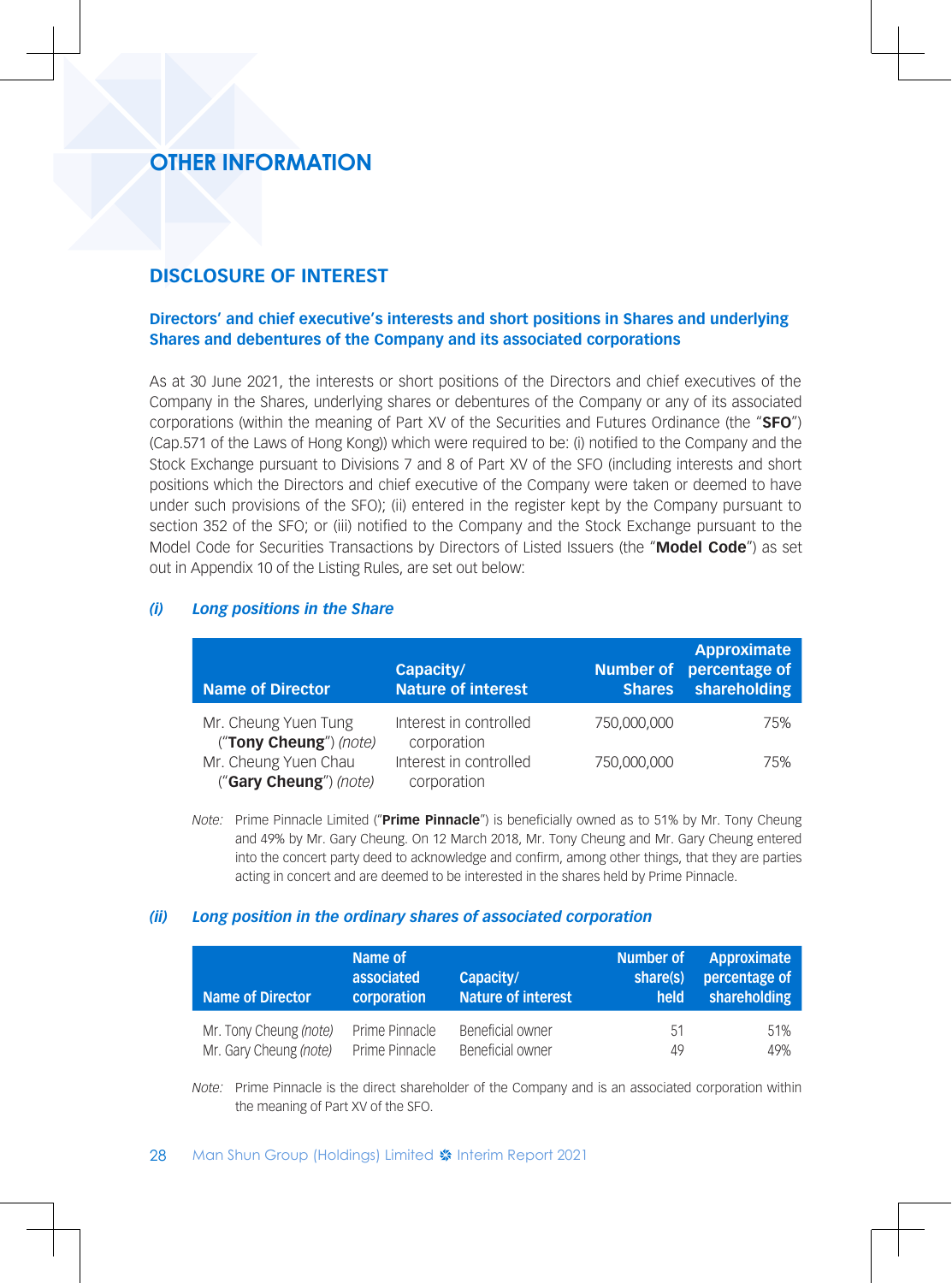### **DISCLOSURE OF INTEREST**

#### **Directors' and chief executive's interests and short positions in Shares and underlying Shares and debentures of the Company and its associated corporations**

As at 30 June 2021, the interests or short positions of the Directors and chief executives of the Company in the Shares, underlying shares or debentures of the Company or any of its associated corporations (within the meaning of Part XV of the Securities and Futures Ordinance (the "**SFO**") (Cap.571 of the Laws of Hong Kong)) which were required to be: (i) notified to the Company and the Stock Exchange pursuant to Divisions 7 and 8 of Part XV of the SFO (including interests and short positions which the Directors and chief executive of the Company were taken or deemed to have under such provisions of the SFO); (ii) entered in the register kept by the Company pursuant to section 352 of the SFO; or (iii) notified to the Company and the Stock Exchange pursuant to the Model Code for Securities Transactions by Directors of Listed Issuers (the "**Model Code**") as set out in Appendix 10 of the Listing Rules, are set out below:

| <b>Name of Director</b>                        | Capacity/<br>Nature of interest       | <b>Number of</b><br><b>Shares</b> | <b>Approximate</b><br>percentage of<br>shareholding |
|------------------------------------------------|---------------------------------------|-----------------------------------|-----------------------------------------------------|
| Mr. Cheung Yuen Tung<br>("Tony Cheung") (note) | Interest in controlled<br>corporation | 750,000,000                       | 75%                                                 |
| Mr. Cheung Yuen Chau<br>("Gary Cheung") (note) | Interest in controlled<br>corporation | 750,000,000                       | 75%                                                 |

#### *(i) Long positions in the Share*

*Note:* Prime Pinnacle Limited ("**Prime Pinnacle**") is beneficially owned as to 51% by Mr. Tony Cheung and 49% by Mr. Gary Cheung. On 12 March 2018, Mr. Tony Cheung and Mr. Gary Cheung entered into the concert party deed to acknowledge and confirm, among other things, that they are parties acting in concert and are deemed to be interested in the shares held by Prime Pinnacle.

#### *(ii) Long position in the ordinary shares of associated corporation*

| Name of Director       | Name of<br>associated<br>corporation | Capacity/<br>Nature of interest | Number of<br>share(s)<br>held | Approximate<br>percentage of<br>shareholding |
|------------------------|--------------------------------------|---------------------------------|-------------------------------|----------------------------------------------|
| Mr. Tony Cheung (note) | Prime Pinnacle                       | Beneficial owner                | 51                            | 51%                                          |
| Mr. Gary Cheung (note) | Prime Pinnacle                       | Beneficial owner                | 49                            | 49%                                          |

*Note:* Prime Pinnacle is the direct shareholder of the Company and is an associated corporation within the meaning of Part XV of the SFO.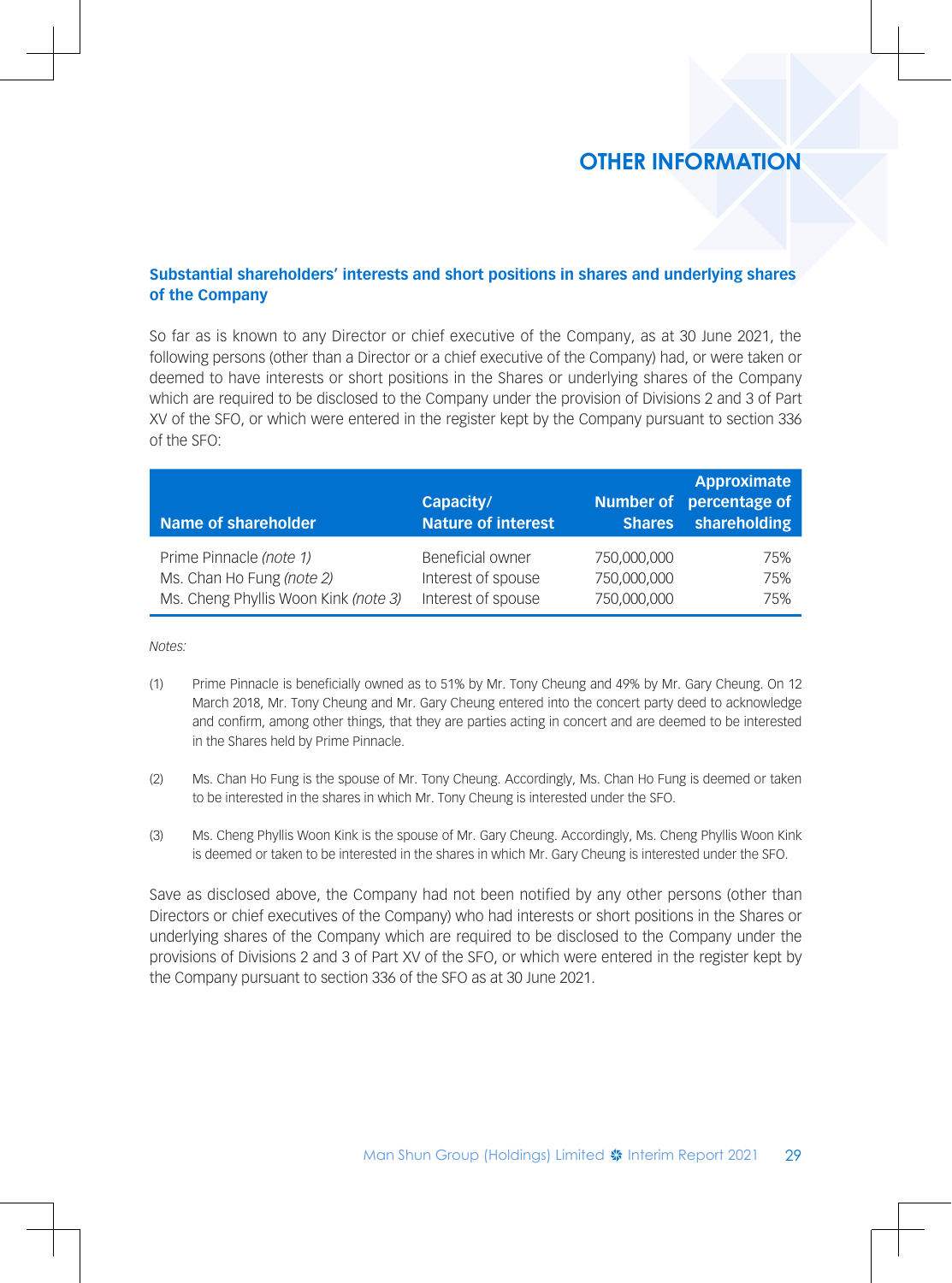#### **Substantial shareholders' interests and short positions in shares and underlying shares of the Company**

So far as is known to any Director or chief executive of the Company, as at 30 June 2021, the following persons (other than a Director or a chief executive of the Company) had, or were taken or deemed to have interests or short positions in the Shares or underlying shares of the Company which are required to be disclosed to the Company under the provision of Divisions 2 and 3 of Part XV of the SFO, or which were entered in the register kept by the Company pursuant to section 336 of the SFO:

| Name of shareholder                  | Capacity/<br>Nature of interest | <b>Shares</b> | <b>Approximate</b><br>Number of percentage of<br>shareholding |
|--------------------------------------|---------------------------------|---------------|---------------------------------------------------------------|
| Prime Pinnacle (note 1)              | Beneficial owner                | 750,000,000   | 75%                                                           |
| Ms. Chan Ho Fung (note 2)            | Interest of spouse              | 750,000,000   | 75%                                                           |
| Ms. Cheng Phyllis Woon Kink (note 3) | Interest of spouse              | 750,000,000   | 75%                                                           |

*Notes:*

- (1) Prime Pinnacle is beneficially owned as to 51% by Mr. Tony Cheung and 49% by Mr. Gary Cheung. On 12 March 2018, Mr. Tony Cheung and Mr. Gary Cheung entered into the concert party deed to acknowledge and confirm, among other things, that they are parties acting in concert and are deemed to be interested in the Shares held by Prime Pinnacle.
- (2) Ms. Chan Ho Fung is the spouse of Mr. Tony Cheung. Accordingly, Ms. Chan Ho Fung is deemed or taken to be interested in the shares in which Mr. Tony Cheung is interested under the SFO.
- (3) Ms. Cheng Phyllis Woon Kink is the spouse of Mr. Gary Cheung. Accordingly, Ms. Cheng Phyllis Woon Kink is deemed or taken to be interested in the shares in which Mr. Gary Cheung is interested under the SFO.

Save as disclosed above, the Company had not been notified by any other persons (other than Directors or chief executives of the Company) who had interests or short positions in the Shares or underlying shares of the Company which are required to be disclosed to the Company under the provisions of Divisions 2 and 3 of Part XV of the SFO, or which were entered in the register kept by the Company pursuant to section 336 of the SFO as at 30 June 2021.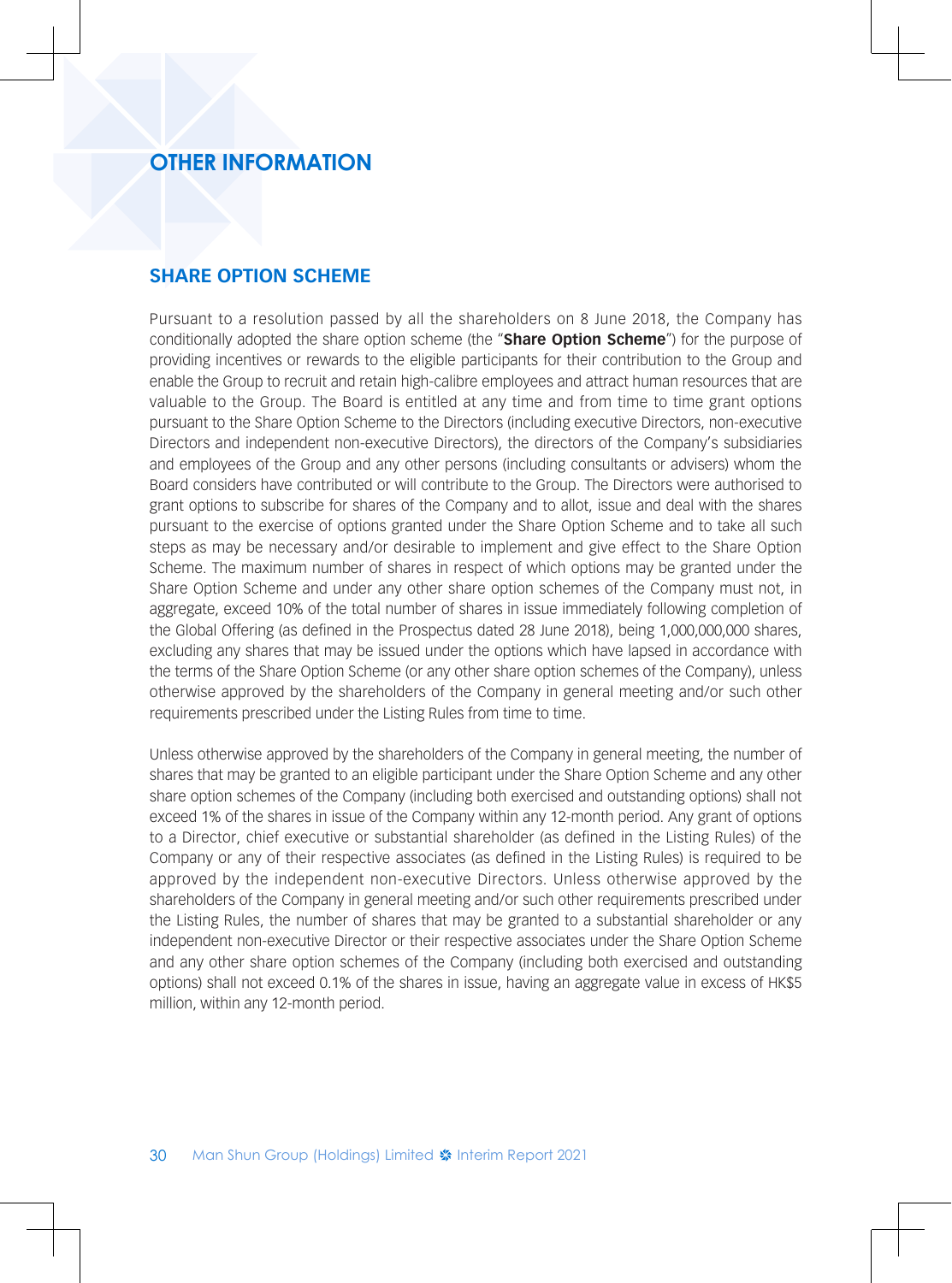### **SHARE OPTION SCHEME**

Pursuant to a resolution passed by all the shareholders on 8 June 2018, the Company has conditionally adopted the share option scheme (the "**Share Option Scheme**") for the purpose of providing incentives or rewards to the eligible participants for their contribution to the Group and enable the Group to recruit and retain high-calibre employees and attract human resources that are valuable to the Group. The Board is entitled at any time and from time to time grant options pursuant to the Share Option Scheme to the Directors (including executive Directors, non-executive Directors and independent non-executive Directors), the directors of the Company's subsidiaries and employees of the Group and any other persons (including consultants or advisers) whom the Board considers have contributed or will contribute to the Group. The Directors were authorised to grant options to subscribe for shares of the Company and to allot, issue and deal with the shares pursuant to the exercise of options granted under the Share Option Scheme and to take all such steps as may be necessary and/or desirable to implement and give effect to the Share Option Scheme. The maximum number of shares in respect of which options may be granted under the Share Option Scheme and under any other share option schemes of the Company must not, in aggregate, exceed 10% of the total number of shares in issue immediately following completion of the Global Offering (as defined in the Prospectus dated 28 June 2018), being 1,000,000,000 shares, excluding any shares that may be issued under the options which have lapsed in accordance with the terms of the Share Option Scheme (or any other share option schemes of the Company), unless otherwise approved by the shareholders of the Company in general meeting and/or such other requirements prescribed under the Listing Rules from time to time.

Unless otherwise approved by the shareholders of the Company in general meeting, the number of shares that may be granted to an eligible participant under the Share Option Scheme and any other share option schemes of the Company (including both exercised and outstanding options) shall not exceed 1% of the shares in issue of the Company within any 12-month period. Any grant of options to a Director, chief executive or substantial shareholder (as defined in the Listing Rules) of the Company or any of their respective associates (as defined in the Listing Rules) is required to be approved by the independent non-executive Directors. Unless otherwise approved by the shareholders of the Company in general meeting and/or such other requirements prescribed under the Listing Rules, the number of shares that may be granted to a substantial shareholder or any independent non-executive Director or their respective associates under the Share Option Scheme and any other share option schemes of the Company (including both exercised and outstanding options) shall not exceed 0.1% of the shares in issue, having an aggregate value in excess of HK\$5 million, within any 12-month period.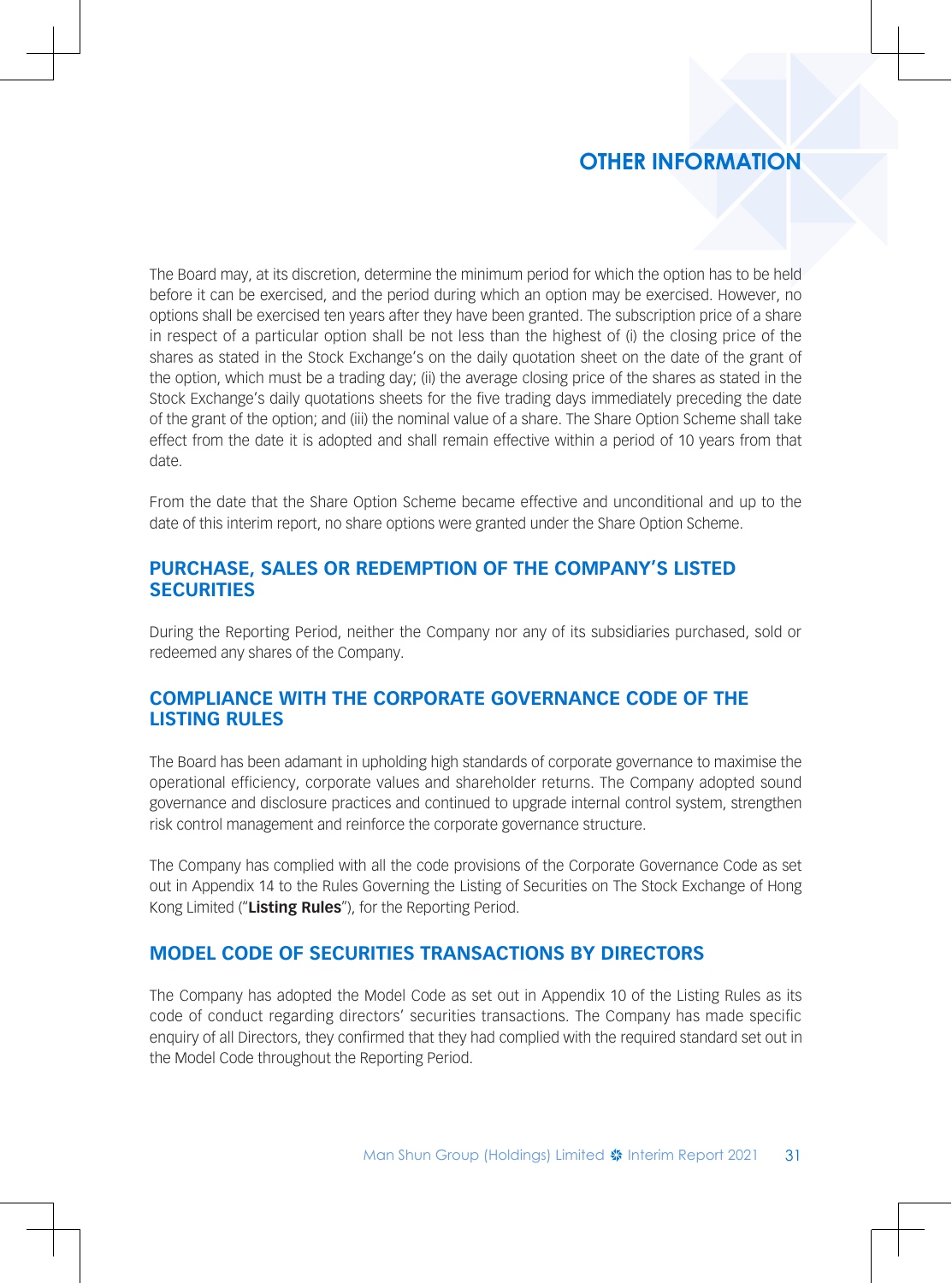The Board may, at its discretion, determine the minimum period for which the option has to be held before it can be exercised, and the period during which an option may be exercised. However, no options shall be exercised ten years after they have been granted. The subscription price of a share in respect of a particular option shall be not less than the highest of (i) the closing price of the shares as stated in the Stock Exchange's on the daily quotation sheet on the date of the grant of the option, which must be a trading day; (ii) the average closing price of the shares as stated in the Stock Exchange's daily quotations sheets for the five trading days immediately preceding the date of the grant of the option; and (iii) the nominal value of a share. The Share Option Scheme shall take effect from the date it is adopted and shall remain effective within a period of 10 years from that date.

From the date that the Share Option Scheme became effective and unconditional and up to the date of this interim report, no share options were granted under the Share Option Scheme.

### **PURCHASE, SALES OR REDEMPTION OF THE COMPANY'S LISTED SECURITIES**

During the Reporting Period, neither the Company nor any of its subsidiaries purchased, sold or redeemed any shares of the Company.

### **COMPLIANCE WITH THE CORPORATE GOVERNANCE CODE OF THE LISTING RULES**

The Board has been adamant in upholding high standards of corporate governance to maximise the operational efficiency, corporate values and shareholder returns. The Company adopted sound governance and disclosure practices and continued to upgrade internal control system, strengthen risk control management and reinforce the corporate governance structure.

The Company has complied with all the code provisions of the Corporate Governance Code as set out in Appendix 14 to the Rules Governing the Listing of Securities on The Stock Exchange of Hong Kong Limited ("**Listing Rules**"), for the Reporting Period.

#### **MODEL CODE OF SECURITIES TRANSACTIONS BY DIRECTORS**

The Company has adopted the Model Code as set out in Appendix 10 of the Listing Rules as its code of conduct regarding directors' securities transactions. The Company has made specific enquiry of all Directors, they confirmed that they had complied with the required standard set out in the Model Code throughout the Reporting Period.